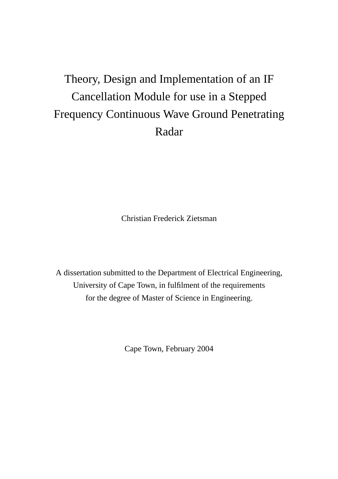# Theory, Design and Implementation of an IF Cancellation Module for use in a Stepped Frequency Continuous Wave Ground Penetrating Radar

Christian Frederick Zietsman

A dissertation submitted to the Department of Electrical Engineering, University of Cape Town, in fulfilment of the requirements for the degree of Master of Science in Engineering.

Cape Town, February 2004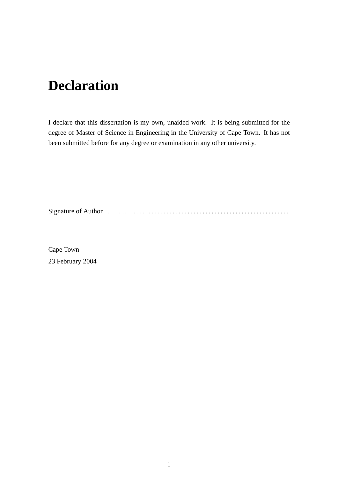# **Declaration**

I declare that this dissertation is my own, unaided work. It is being submitted for the degree of Master of Science in Engineering in the University of Cape Town. It has not been submitted before for any degree or examination in any other university.

Signature of Author . . . . . . . . . . . . . . . . . . . . . . . . . . . . . . . . . . . . . . . . . . . . . . . . . . . . . . . . . . . . . .

Cape Town 23 February 2004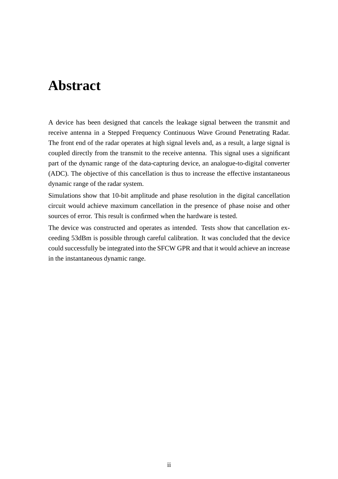# **Abstract**

A device has been designed that cancels the leakage signal between the transmit and receive antenna in a Stepped Frequency Continuous Wave Ground Penetrating Radar. The front end of the radar operates at high signal levels and, as a result, a large signal is coupled directly from the transmit to the receive antenna. This signal uses a significant part of the dynamic range of the data-capturing device, an analogue-to-digital converter (ADC). The objective of this cancellation is thus to increase the effective instantaneous dynamic range of the radar system.

Simulations show that 10-bit amplitude and phase resolution in the digital cancellation circuit would achieve maximum cancellation in the presence of phase noise and other sources of error. This result is confirmed when the hardware is tested.

The device was constructed and operates as intended. Tests show that cancellation exceeding 53dBm is possible through careful calibration. It was concluded that the device could successfully be integrated into the SFCW GPR and that it would achieve an increase in the instantaneous dynamic range.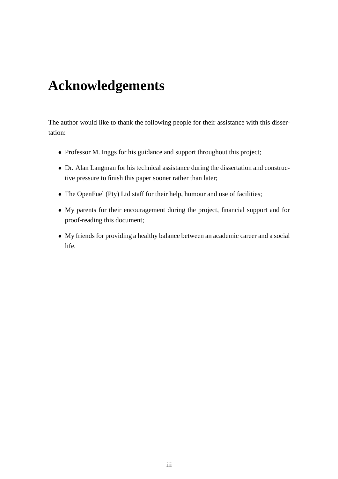# **Acknowledgements**

The author would like to thank the following people for their assistance with this dissertation:

- Professor M. Inggs for his guidance and support throughout this project;
- Dr. Alan Langman for his technical assistance during the dissertation and constructive pressure to finish this paper sooner rather than later;
- The OpenFuel (Pty) Ltd staff for their help, humour and use of facilities;
- My parents for their encouragement during the project, financial support and for proof-reading this document;
- My friends for providing a healthy balance between an academic career and a social life.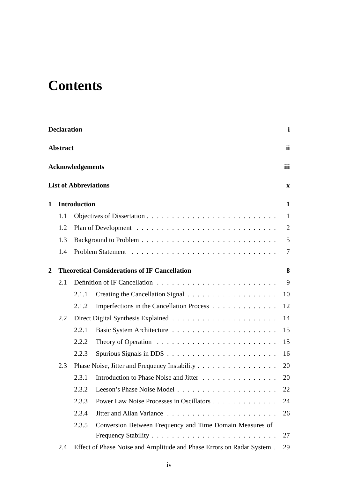# **Contents**

|                 | <b>Declaration</b> |                              |                                                                               | i            |
|-----------------|--------------------|------------------------------|-------------------------------------------------------------------------------|--------------|
| <b>Abstract</b> |                    |                              |                                                                               | ii           |
|                 |                    | <b>Acknowledgements</b>      |                                                                               | iii          |
|                 |                    | <b>List of Abbreviations</b> |                                                                               | $\mathbf X$  |
| 1               |                    | <b>Introduction</b>          |                                                                               | $\mathbf{1}$ |
|                 | 1.1                |                              |                                                                               | 1            |
|                 | 1.2                |                              |                                                                               | 2            |
|                 | 1.3                |                              |                                                                               | 5            |
|                 | 1.4                |                              |                                                                               | 7            |
| $\overline{2}$  |                    |                              | <b>Theoretical Considerations of IF Cancellation</b>                          | 8            |
|                 | 2.1                |                              |                                                                               | 9            |
|                 |                    | 2.1.1                        |                                                                               | 10           |
|                 |                    | 2.1.2                        | Imperfections in the Cancellation Process                                     | 12           |
|                 | 2.2                |                              |                                                                               | 14           |
|                 |                    | 2.2.1                        |                                                                               | 15           |
|                 |                    | 2.2.2                        | Theory of Operation $\ldots \ldots \ldots \ldots \ldots \ldots \ldots \ldots$ | 15           |
|                 |                    | 2.2.3                        |                                                                               | 16           |
|                 | 2.3                |                              | Phase Noise, Jitter and Frequency Instability                                 | 20           |
|                 |                    | 2.3.1                        | Introduction to Phase Noise and Jitter                                        | 20           |
|                 |                    | 2.3.2                        |                                                                               | 22           |
|                 |                    | 2.3.3                        | Power Law Noise Processes in Oscillators                                      | 24           |
|                 |                    | 2.3.4                        |                                                                               | 26           |
|                 |                    | 2.3.5                        | Conversion Between Frequency and Time Domain Measures of                      |              |
|                 |                    |                              |                                                                               | 27           |
|                 | 2.4                |                              | Effect of Phase Noise and Amplitude and Phase Errors on Radar System.         | 29           |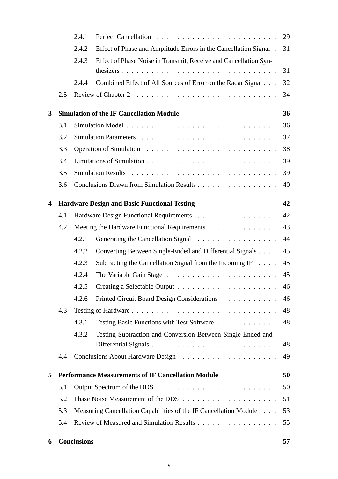|   |                                                                 | 2.4.1              |                                                                   | 29 |
|---|-----------------------------------------------------------------|--------------------|-------------------------------------------------------------------|----|
|   |                                                                 | 2.4.2              | Effect of Phase and Amplitude Errors in the Cancellation Signal.  | 31 |
|   |                                                                 | 2.4.3              | Effect of Phase Noise in Transmit, Receive and Cancellation Syn-  |    |
|   |                                                                 |                    |                                                                   | 31 |
|   |                                                                 | 2.4.4              | Combined Effect of All Sources of Error on the Radar Signal       | 32 |
|   | 2.5                                                             |                    |                                                                   | 34 |
| 3 |                                                                 |                    | <b>Simulation of the IF Cancellation Module</b>                   | 36 |
|   | 3.1                                                             |                    |                                                                   | 36 |
|   | 3.2                                                             |                    |                                                                   | 37 |
|   | 3.3                                                             |                    |                                                                   | 38 |
|   | 3.4                                                             |                    |                                                                   | 39 |
|   | 3.5                                                             |                    |                                                                   | 39 |
|   | 3.6                                                             |                    | Conclusions Drawn from Simulation Results                         | 40 |
| 4 |                                                                 |                    | <b>Hardware Design and Basic Functional Testing</b>               | 42 |
|   | 4.1                                                             |                    | Hardware Design Functional Requirements                           | 42 |
|   | 4.2                                                             |                    | Meeting the Hardware Functional Requirements                      | 43 |
|   |                                                                 | 4.2.1              | Generating the Cancellation Signal                                | 44 |
|   |                                                                 | 4.2.2              | Converting Between Single-Ended and Differential Signals          | 45 |
|   |                                                                 | 4.2.3              | Subtracting the Cancellation Signal from the Incoming IF $\dots$  | 45 |
|   |                                                                 | 4.2.4              |                                                                   | 45 |
|   |                                                                 | 4.2.5              |                                                                   | 46 |
|   |                                                                 | 4.2.6              | Printed Circuit Board Design Considerations                       | 46 |
|   | 4.3                                                             |                    |                                                                   | 48 |
|   |                                                                 | 4.3.1              | Testing Basic Functions with Test Software                        | 48 |
|   |                                                                 | 4.3.2              | Testing Subtraction and Conversion Between Single-Ended and       |    |
|   |                                                                 |                    |                                                                   | 48 |
|   | 4.4                                                             |                    |                                                                   | 49 |
| 5 | <b>Performance Measurements of IF Cancellation Module</b><br>50 |                    |                                                                   |    |
|   | 5.1                                                             |                    |                                                                   | 50 |
|   | 5.2                                                             |                    |                                                                   | 51 |
|   | 5.3                                                             |                    | Measuring Cancellation Capabilities of the IF Cancellation Module | 53 |
|   | 5.4                                                             |                    | Review of Measured and Simulation Results                         | 55 |
| 6 |                                                                 | <b>Conclusions</b> |                                                                   | 57 |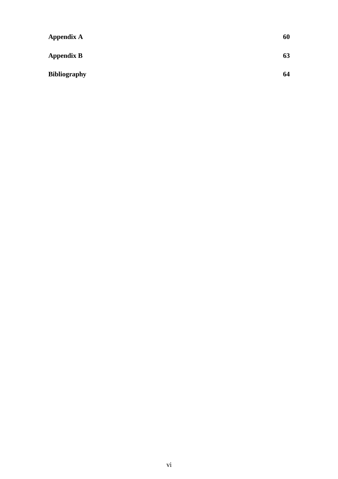| <b>Appendix A</b>   | 60 |
|---------------------|----|
| <b>Appendix B</b>   | 63 |
| <b>Bibliography</b> | 64 |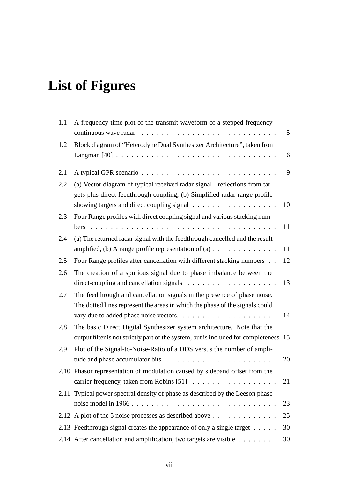# **List of Figures**

| 1.1 | A frequency-time plot of the transmit waveform of a stepped frequency                                                                                            | 5  |
|-----|------------------------------------------------------------------------------------------------------------------------------------------------------------------|----|
| 1.2 | Block diagram of "Heterodyne Dual Synthesizer Architecture", taken from                                                                                          |    |
|     |                                                                                                                                                                  | 6  |
| 2.1 |                                                                                                                                                                  | 9  |
| 2.2 | (a) Vector diagram of typical received radar signal - reflections from tar-<br>gets plus direct feedthrough coupling, (b) Simplified radar range profile         | 10 |
| 2.3 | Four Range profiles with direct coupling signal and various stacking num-                                                                                        |    |
|     |                                                                                                                                                                  | 11 |
| 2.4 | (a) The returned radar signal with the feedthrough cancelled and the result                                                                                      |    |
|     | amplified, (b) A range profile representation of $(a)$                                                                                                           | 11 |
| 2.5 | Four Range profiles after cancellation with different stacking numbers                                                                                           | 12 |
| 2.6 | The creation of a spurious signal due to phase imbalance between the                                                                                             | 13 |
| 2.7 | The feedthrough and cancellation signals in the presence of phase noise.<br>The dotted lines represent the areas in which the phase of the signals could         | 14 |
| 2.8 | The basic Direct Digital Synthesizer system architecture. Note that the<br>output filter is not strictly part of the system, but is included for completeness 15 |    |
| 2.9 | Plot of the Signal-to-Noise-Ratio of a DDS versus the number of ampli-                                                                                           | 20 |
|     | 2.10 Phasor representation of modulation caused by sideband offset from the                                                                                      | 21 |
|     | 2.11 Typical power spectral density of phase as described by the Leeson phase                                                                                    | 23 |
|     | 2.12 A plot of the 5 noise processes as described above $\dots \dots \dots \dots$                                                                                | 25 |
|     | 2.13 Feedthrough signal creates the appearance of only a single target                                                                                           | 30 |
|     | 2.14 After cancellation and amplification, two targets are visible                                                                                               | 30 |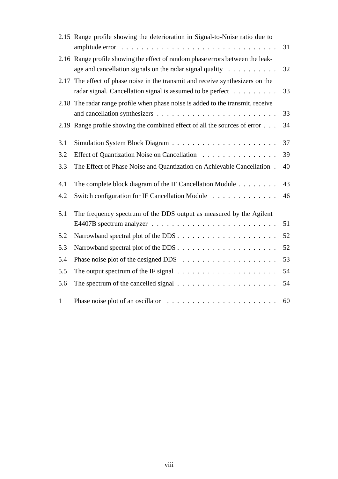|              | 2.15 Range profile showing the deterioration in Signal-to-Noise ratio due to                                                                                   | 31 |
|--------------|----------------------------------------------------------------------------------------------------------------------------------------------------------------|----|
|              | 2.16 Range profile showing the effect of random phase errors between the leak-<br>age and cancellation signals on the radar signal quality $\dots \dots \dots$ | 32 |
| 2.17         | The effect of phase noise in the transmit and receive synthesizers on the<br>radar signal. Cancellation signal is assumed to be perfect                        | 33 |
|              | 2.18 The radar range profile when phase noise is added to the transmit, receive                                                                                | 33 |
|              | 2.19 Range profile showing the combined effect of all the sources of error                                                                                     | 34 |
| 3.1          |                                                                                                                                                                | 37 |
| 3.2          | Effect of Quantization Noise on Cancellation                                                                                                                   | 39 |
| 3.3          | The Effect of Phase Noise and Quantization on Achievable Cancellation.                                                                                         | 40 |
| 4.1          | The complete block diagram of the IF Cancellation Module                                                                                                       | 43 |
| 4.2          | Switch configuration for IF Cancellation Module                                                                                                                | 46 |
| 5.1          | The frequency spectrum of the DDS output as measured by the Agilent                                                                                            |    |
|              |                                                                                                                                                                | 51 |
| 5.2          |                                                                                                                                                                | 52 |
| 5.3          |                                                                                                                                                                | 52 |
| 5.4          |                                                                                                                                                                | 53 |
| 5.5          | The output spectrum of the IF signal $\ldots \ldots \ldots \ldots \ldots \ldots \ldots$                                                                        | 54 |
| 5.6          | The spectrum of the cancelled signal $\dots \dots \dots \dots \dots \dots \dots$                                                                               | 54 |
| $\mathbf{1}$ |                                                                                                                                                                | 60 |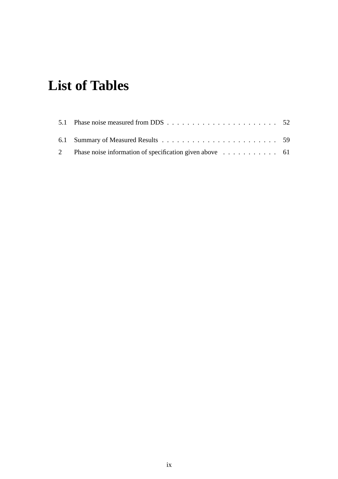# **List of Tables**

| 2 Phase noise information of specification given above 61 |  |
|-----------------------------------------------------------|--|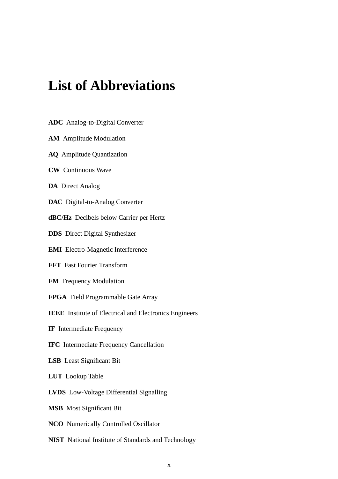# **List of Abbreviations**

- **ADC** Analog-to-Digital Converter
- **AM** Amplitude Modulation
- **AQ** Amplitude Quantization
- **CW** Continuous Wave
- **DA** Direct Analog
- **DAC** Digital-to-Analog Converter
- **dBC/Hz** Decibels below Carrier per Hertz
- **DDS** Direct Digital Synthesizer
- **EMI** Electro-Magnetic Interference
- **FFT** Fast Fourier Transform
- **FM** Frequency Modulation
- **FPGA** Field Programmable Gate Array
- **IEEE** Institute of Electrical and Electronics Engineers
- **IF** Intermediate Frequency
- **IFC** Intermediate Frequency Cancellation
- **LSB** Least Significant Bit
- **LUT** Lookup Table
- **LVDS** Low-Voltage Differential Signalling
- **MSB** Most Significant Bit
- **NCO** Numerically Controlled Oscillator
- **NIST** National Institute of Standards and Technology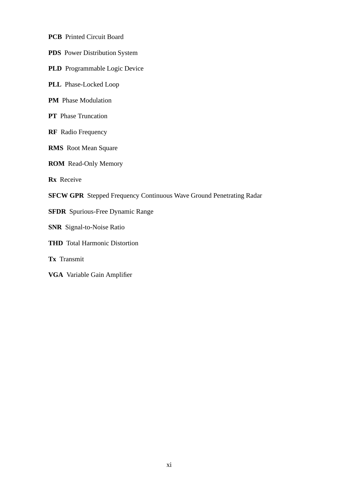- **PCB** Printed Circuit Board
- **PDS** Power Distribution System
- **PLD** Programmable Logic Device
- **PLL** Phase-Locked Loop
- **PM** Phase Modulation
- **PT** Phase Truncation
- **RF** Radio Frequency
- **RMS** Root Mean Square
- **ROM** Read-Only Memory

**Rx** Receive

- **SFCW GPR** Stepped Frequency Continuous Wave Ground Penetrating Radar
- **SFDR** Spurious-Free Dynamic Range
- **SNR** Signal-to-Noise Ratio
- **THD** Total Harmonic Distortion
- **Tx** Transmit
- **VGA** Variable Gain Amplifier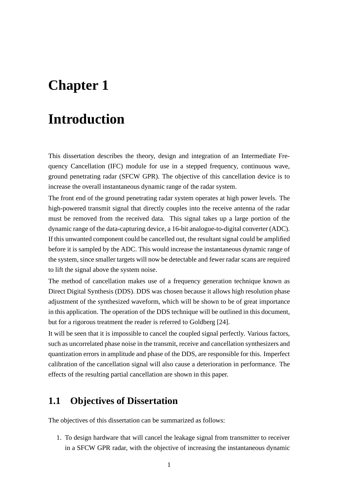# **Chapter 1**

# **Introduction**

This dissertation describes the theory, design and integration of an Intermediate Frequency Cancellation (IFC) module for use in a stepped frequency, continuous wave, ground penetrating radar (SFCW GPR). The objective of this cancellation device is to increase the overall instantaneous dynamic range of the radar system.

The front end of the ground penetrating radar system operates at high power levels. The high-powered transmit signal that directly couples into the receive antenna of the radar must be removed from the received data. This signal takes up a large portion of the dynamic range of the data-capturing device, a 16-bit analogue-to-digital converter (ADC). If this unwanted component could be cancelled out, the resultant signal could be amplified before it is sampled by the ADC. This would increase the instantaneous dynamic range of the system, since smaller targets will now be detectable and fewer radar scans are required to lift the signal above the system noise.

The method of cancellation makes use of a frequency generation technique known as Direct Digital Synthesis (DDS). DDS was chosen because it allows high resolution phase adjustment of the synthesized waveform, which will be shown to be of great importance in this application. The operation of the DDS technique will be outlined in this document, but for a rigorous treatment the reader is referred to Goldberg [24].

It will be seen that it is impossible to cancel the coupled signal perfectly. Various factors, such as uncorrelated phase noise in the transmit, receive and cancellation synthesizers and quantization errors in amplitude and phase of the DDS, are responsible for this. Imperfect calibration of the cancellation signal will also cause a deterioration in performance. The effects of the resulting partial cancellation are shown in this paper.

## **1.1 Objectives of Dissertation**

The objectives of this dissertation can be summarized as follows:

1. To design hardware that will cancel the leakage signal from transmitter to receiver in a SFCW GPR radar, with the objective of increasing the instantaneous dynamic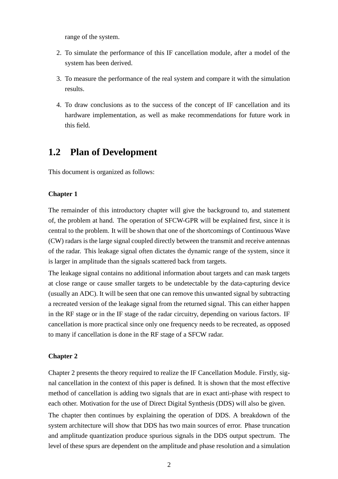range of the system.

- 2. To simulate the performance of this IF cancellation module, after a model of the system has been derived.
- 3. To measure the performance of the real system and compare it with the simulation results.
- 4. To draw conclusions as to the success of the concept of IF cancellation and its hardware implementation, as well as make recommendations for future work in this field.

## **1.2 Plan of Development**

This document is organized as follows:

### **Chapter 1**

The remainder of this introductory chapter will give the background to, and statement of, the problem at hand. The operation of SFCW-GPR will be explained first, since it is central to the problem. It will be shown that one of the shortcomings of Continuous Wave (CW) radars is the large signal coupled directly between the transmit and receive antennas of the radar. This leakage signal often dictates the dynamic range of the system, since it is larger in amplitude than the signals scattered back from targets.

The leakage signal contains no additional information about targets and can mask targets at close range or cause smaller targets to be undetectable by the data-capturing device (usually an ADC). It will be seen that one can remove this unwanted signal by subtracting a recreated version of the leakage signal from the returned signal. This can either happen in the RF stage or in the IF stage of the radar circuitry, depending on various factors. IF cancellation is more practical since only one frequency needs to be recreated, as opposed to many if cancellation is done in the RF stage of a SFCW radar.

#### **Chapter 2**

Chapter 2 presents the theory required to realize the IF Cancellation Module. Firstly, signal cancellation in the context of this paper is defined. It is shown that the most effective method of cancellation is adding two signals that are in exact anti-phase with respect to each other. Motivation for the use of Direct Digital Synthesis (DDS) will also be given.

The chapter then continues by explaining the operation of DDS. A breakdown of the system architecture will show that DDS has two main sources of error. Phase truncation and amplitude quantization produce spurious signals in the DDS output spectrum. The level of these spurs are dependent on the amplitude and phase resolution and a simulation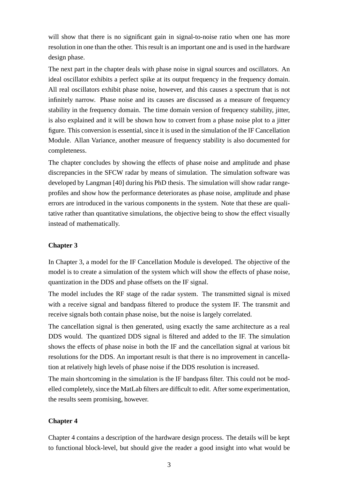will show that there is no significant gain in signal-to-noise ratio when one has more resolution in one than the other. This result is an important one and is used in the hardware design phase.

The next part in the chapter deals with phase noise in signal sources and oscillators. An ideal oscillator exhibits a perfect spike at its output frequency in the frequency domain. All real oscillators exhibit phase noise, however, and this causes a spectrum that is not infinitely narrow. Phase noise and its causes are discussed as a measure of frequency stability in the frequency domain. The time domain version of frequency stability, jitter, is also explained and it will be shown how to convert from a phase noise plot to a jitter figure. This conversion is essential, since it is used in the simulation of the IF Cancellation Module. Allan Variance, another measure of frequency stability is also documented for completeness.

The chapter concludes by showing the effects of phase noise and amplitude and phase discrepancies in the SFCW radar by means of simulation. The simulation software was developed by Langman [40] during his PhD thesis. The simulation will show radar rangeprofiles and show how the performance deteriorates as phase noise, amplitude and phase errors are introduced in the various components in the system. Note that these are qualitative rather than quantitative simulations, the objective being to show the effect visually instead of mathematically.

### **Chapter 3**

In Chapter 3, a model for the IF Cancellation Module is developed. The objective of the model is to create a simulation of the system which will show the effects of phase noise, quantization in the DDS and phase offsets on the IF signal.

The model includes the RF stage of the radar system. The transmitted signal is mixed with a receive signal and bandpass filtered to produce the system IF. The transmit and receive signals both contain phase noise, but the noise is largely correlated.

The cancellation signal is then generated, using exactly the same architecture as a real DDS would. The quantized DDS signal is filtered and added to the IF. The simulation shows the effects of phase noise in both the IF and the cancellation signal at various bit resolutions for the DDS. An important result is that there is no improvement in cancellation at relatively high levels of phase noise if the DDS resolution is increased.

The main shortcoming in the simulation is the IF bandpass filter. This could not be modelled completely, since the MatLab filters are difficult to edit. After some experimentation, the results seem promising, however.

### **Chapter 4**

Chapter 4 contains a description of the hardware design process. The details will be kept to functional block-level, but should give the reader a good insight into what would be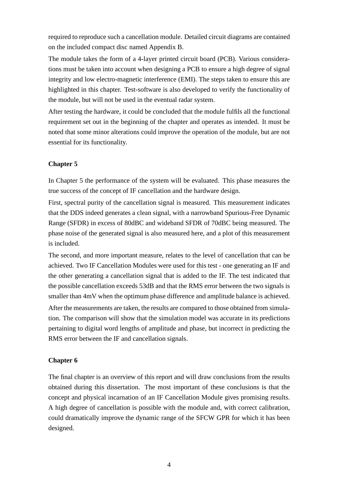required to reproduce such a cancellation module. Detailed circuit diagrams are contained on the included compact disc named Appendix B.

The module takes the form of a 4-layer printed circuit board (PCB). Various considerations must be taken into account when designing a PCB to ensure a high degree of signal integrity and low electro-magnetic interference (EMI). The steps taken to ensure this are highlighted in this chapter. Test-software is also developed to verify the functionality of the module, but will not be used in the eventual radar system.

After testing the hardware, it could be concluded that the module fulfils all the functional requirement set out in the beginning of the chapter and operates as intended. It must be noted that some minor alterations could improve the operation of the module, but are not essential for its functionality.

### **Chapter 5**

In Chapter 5 the performance of the system will be evaluated. This phase measures the true success of the concept of IF cancellation and the hardware design.

First, spectral purity of the cancellation signal is measured. This measurement indicates that the DDS indeed generates a clean signal, with a narrowband Spurious-Free Dynamic Range (SFDR) in excess of 80dBC and wideband SFDR of 70dBC being measured. The phase noise of the generated signal is also measured here, and a plot of this measurement is included.

The second, and more important measure, relates to the level of cancellation that can be achieved. Two IF Cancellation Modules were used for this test - one generating an IF and the other generating a cancellation signal that is added to the IF. The test indicated that the possible cancellation exceeds 53dB and that the RMS error between the two signals is smaller than 4mV when the optimum phase difference and amplitude balance is achieved.

After the measurements are taken, the results are compared to those obtained from simulation. The comparison will show that the simulation model was accurate in its predictions pertaining to digital word lengths of amplitude and phase, but incorrect in predicting the RMS error between the IF and cancellation signals.

### **Chapter 6**

The final chapter is an overview of this report and will draw conclusions from the results obtained during this dissertation. The most important of these conclusions is that the concept and physical incarnation of an IF Cancellation Module gives promising results. A high degree of cancellation is possible with the module and, with correct calibration, could dramatically improve the dynamic range of the SFCW GPR for which it has been designed.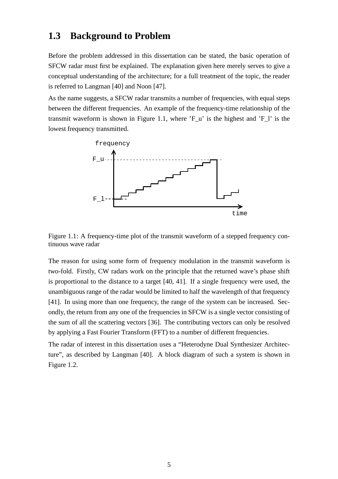## **1.3 Background to Problem**

Before the problem addressed in this dissertation can be stated, the basic operation of SFCW radar must first be explained. The explanation given here merely serves to give a conceptual understanding of the architecture; for a full treatment of the topic, the reader is referred to Langman [40] and Noon [47].

As the name suggests, a SFCW radar transmits a number of frequencies, with equal steps between the different frequencies. An example of the frequency-time relationship of the transmit waveform is shown in Figure 1.1, where 'F\_u' is the highest and 'F\_l' is the lowest frequency transmitted.



Figure 1.1: A frequency-time plot of the transmit waveform of a stepped frequency continuous wave radar

The reason for using some form of frequency modulation in the transmit waveform is two-fold. Firstly, CW radars work on the principle that the returned wave's phase shift is proportional to the distance to a target [40, 41]. If a single frequency were used, the unambiguous range of the radar would be limited to half the wavelength of that frequency [41]. In using more than one frequency, the range of the system can be increased. Secondly, the return from any one of the frequencies in SFCW is a single vector consisting of the sum of all the scattering vectors [36]. The contributing vectors can only be resolved by applying a Fast Fourier Transform (FFT) to a number of different frequencies.

The radar of interest in this dissertation uses a "Heterodyne Dual Synthesizer Architecture", as described by Langman [40]. A block diagram of such a system is shown in Figure 1.2.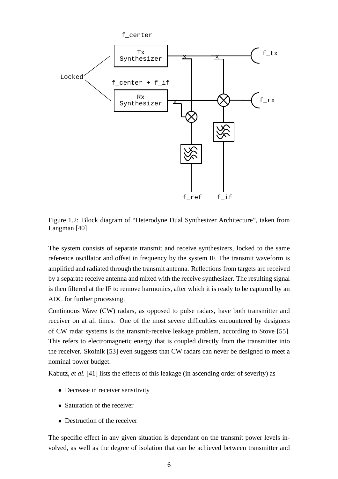

Figure 1.2: Block diagram of "Heterodyne Dual Synthesizer Architecture", taken from Langman [40]

The system consists of separate transmit and receive synthesizers, locked to the same reference oscillator and offset in frequency by the system IF. The transmit waveform is amplified and radiated through the transmit antenna. Reflections from targets are received by a separate receive antenna and mixed with the receive synthesizer. The resulting signal is then filtered at the IF to remove harmonics, after which it is ready to be captured by an ADC for further processing.

Continuous Wave (CW) radars, as opposed to pulse radars, have both transmitter and receiver on at all times. One of the most severe difficulties encountered by designers of CW radar systems is the transmit-receive leakage problem, according to Stove [55]. This refers to electromagnetic energy that is coupled directly from the transmitter into the receiver. Skolnik [53] even suggests that CW radars can never be designed to meet a nominal power budget.

Kabutz, *et al.* [41] lists the effects of this leakage (in ascending order of severity) as

- Decrease in receiver sensitivity
- Saturation of the receiver
- Destruction of the receiver

The specific effect in any given situation is dependant on the transmit power levels involved, as well as the degree of isolation that can be achieved between transmitter and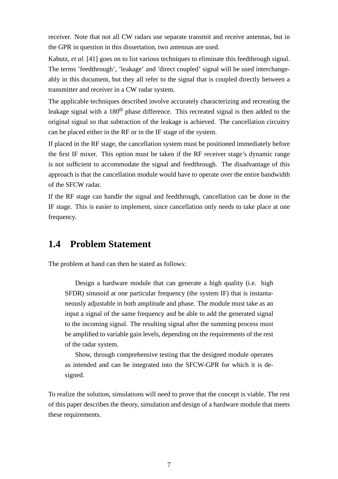receiver. Note that not all CW radars use separate transmit and receive antennas, but in the GPR in question in this dissertation, two antennas are used.

Kabutz, *et al.* [41] goes on to list various techniques to eliminate this feedthrough signal. The terms 'feedthrough', 'leakage' and 'direct coupled' signal will be used interchangeably in this document, but they all refer to the signal that is coupled directly between a transmitter and receiver in a CW radar system.

The applicable techniques described involve accurately characterizing and recreating the leakage signal with a  $180^{\circ}$  phase difference. This recreated signal is then added to the original signal so that subtraction of the leakage is achieved. The cancellation circuitry can be placed either in the RF or in the IF stage of the system.

If placed in the RF stage, the cancellation system must be positioned immediately before the first IF mixer. This option must be taken if the RF receiver stage's dynamic range is not sufficient to accommodate the signal and feedthrough. The disadvantage of this approach is that the cancellation module would have to operate over the entire bandwidth of the SFCW radar.

If the RF stage can handle the signal and feedthrough, cancellation can be done in the IF stage. This is easier to implement, since cancellation only needs to take place at one frequency.

## **1.4 Problem Statement**

The problem at hand can then be stated as follows:

Design a hardware module that can generate a high quality (i.e. high SFDR) sinusoid at one particular frequency (the system IF) that is instantaneously adjustable in both amplitude and phase. The module must take as an input a signal of the same frequency and be able to add the generated signal to the incoming signal. The resulting signal after the summing process must be amplified to variable gain levels, depending on the requirements of the rest of the radar system.

Show, through comprehensive testing that the designed module operates as intended and can be integrated into the SFCW-GPR for which it is designed.

To realize the solution, simulations will need to prove that the concept is viable. The rest of this paper describes the theory, simulation and design of a hardware module that meets these requirements.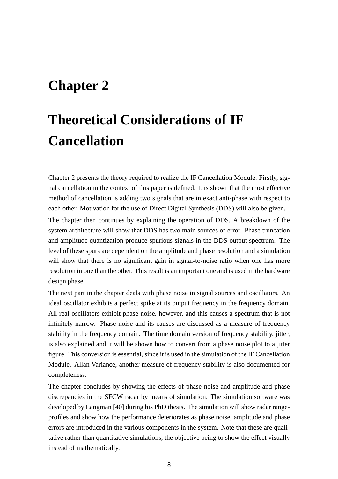# **Chapter 2**

# **Theoretical Considerations of IF Cancellation**

Chapter 2 presents the theory required to realize the IF Cancellation Module. Firstly, signal cancellation in the context of this paper is defined. It is shown that the most effective method of cancellation is adding two signals that are in exact anti-phase with respect to each other. Motivation for the use of Direct Digital Synthesis (DDS) will also be given.

The chapter then continues by explaining the operation of DDS. A breakdown of the system architecture will show that DDS has two main sources of error. Phase truncation and amplitude quantization produce spurious signals in the DDS output spectrum. The level of these spurs are dependent on the amplitude and phase resolution and a simulation will show that there is no significant gain in signal-to-noise ratio when one has more resolution in one than the other. This result is an important one and is used in the hardware design phase.

The next part in the chapter deals with phase noise in signal sources and oscillators. An ideal oscillator exhibits a perfect spike at its output frequency in the frequency domain. All real oscillators exhibit phase noise, however, and this causes a spectrum that is not infinitely narrow. Phase noise and its causes are discussed as a measure of frequency stability in the frequency domain. The time domain version of frequency stability, jitter, is also explained and it will be shown how to convert from a phase noise plot to a jitter figure. This conversion is essential, since it is used in the simulation of the IF Cancellation Module. Allan Variance, another measure of frequency stability is also documented for completeness.

The chapter concludes by showing the effects of phase noise and amplitude and phase discrepancies in the SFCW radar by means of simulation. The simulation software was developed by Langman [40] during his PhD thesis. The simulation will show radar rangeprofiles and show how the performance deteriorates as phase noise, amplitude and phase errors are introduced in the various components in the system. Note that these are qualitative rather than quantitative simulations, the objective being to show the effect visually instead of mathematically.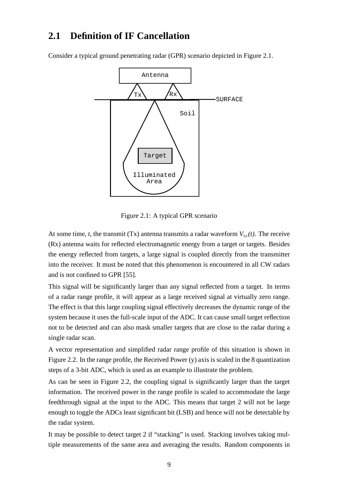## **2.1 Definition of IF Cancellation**

Consider a typical ground penetrating radar (GPR) scenario depicted in Figure 2.1.



Figure 2.1: A typical GPR scenario

At some time, *t*, the transmit (Tx) antenna transmits a radar waveform  $V_{tx}(t)$ . The receive (Rx) antenna waits for reflected electromagnetic energy from a target or targets. Besides the energy reflected from targets, a large signal is coupled directly from the transmitter into the receiver. It must be noted that this phenomenon is encountered in all CW radars and is not confined to GPR [55].

This signal will be significantly larger than any signal reflected from a target. In terms of a radar range profile, it will appear as a large received signal at virtually zero range. The effect is that this large coupling signal effectively decreases the dynamic range of the system because it uses the full-scale input of the ADC. It can cause small target reflection not to be detected and can also mask smaller targets that are close to the radar during a single radar scan.

A vector representation and simplified radar range profile of this situation is shown in Figure 2.2. In the range profile, the Received Power (y) axis is scaled in the 8 quantization steps of a 3-bit ADC, which is used as an example to illustrate the problem.

As can be seen in Figure 2.2, the coupling signal is significantly larger than the target information. The received power in the range profile is scaled to accommodate the large feedthrough signal at the input to the ADC. This means that target 2 will not be large enough to toggle the ADCs least significant bit (LSB) and hence will not be detectable by the radar system.

It may be possible to detect target 2 if "stacking" is used. Stacking involves taking multiple measurements of the same area and averaging the results. Random components in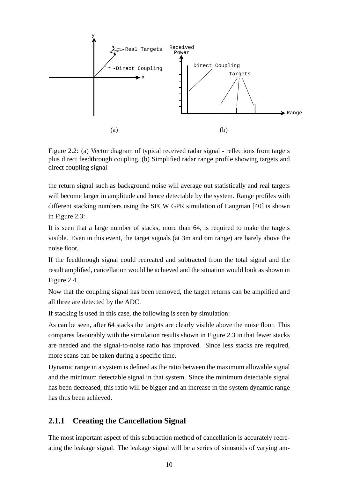

Figure 2.2: (a) Vector diagram of typical received radar signal - reflections from targets plus direct feedthrough coupling, (b) Simplified radar range profile showing targets and direct coupling signal

the return signal such as background noise will average out statistically and real targets will become larger in amplitude and hence detectable by the system. Range profiles with different stacking numbers using the SFCW GPR simulation of Langman [40] is shown in Figure 2.3:

It is seen that a large number of stacks, more than 64, is required to make the targets visible. Even in this event, the target signals (at 3m and 6m range) are barely above the noise floor.

If the feedthrough signal could recreated and subtracted from the total signal and the result amplified, cancellation would be achieved and the situation would look as shown in Figure 2.4.

Now that the coupling signal has been removed, the target returns can be amplified and all three are detected by the ADC.

If stacking is used in this case, the following is seen by simulation:

As can be seen, after 64 stacks the targets are clearly visible above the noise floor. This compares favourably with the simulation results shown in Figure 2.3 in that fewer stacks are needed and the signal-to-noise ratio has improved. Since less stacks are required, more scans can be taken during a specific time.

Dynamic range in a system is defined as the ratio between the maximum allowable signal and the minimum detectable signal in that system. Since the minimum detectable signal has been decreased, this ratio will be bigger and an increase in the system dynamic range has thus been achieved.

## **2.1.1 Creating the Cancellation Signal**

The most important aspect of this subtraction method of cancellation is accurately recreating the leakage signal. The leakage signal will be a series of sinusoids of varying am-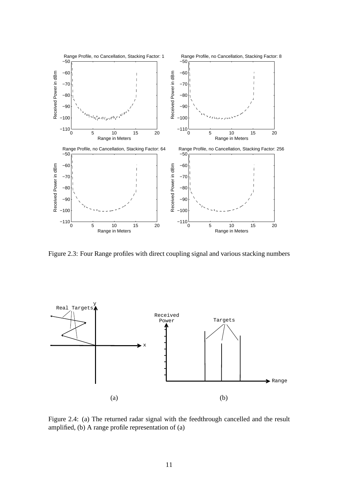

Figure 2.3: Four Range profiles with direct coupling signal and various stacking numbers



Figure 2.4: (a) The returned radar signal with the feedthrough cancelled and the result amplified, (b) A range profile representation of (a)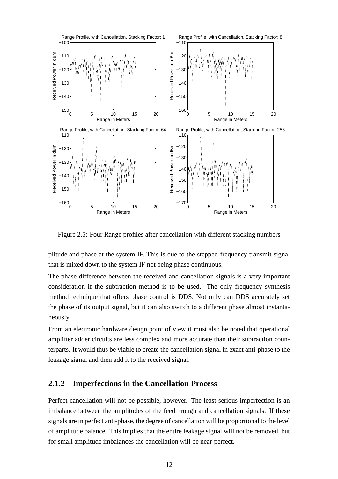

Figure 2.5: Four Range profiles after cancellation with different stacking numbers

plitude and phase at the system IF. This is due to the stepped-frequency transmit signal that is mixed down to the system IF not being phase continuous.

The phase difference between the received and cancellation signals is a very important consideration if the subtraction method is to be used. The only frequency synthesis method technique that offers phase control is DDS. Not only can DDS accurately set the phase of its output signal, but it can also switch to a different phase almost instantaneously.

From an electronic hardware design point of view it must also be noted that operational amplifier adder circuits are less complex and more accurate than their subtraction counterparts. It would thus be viable to create the cancellation signal in exact anti-phase to the leakage signal and then add it to the received signal.

### **2.1.2 Imperfections in the Cancellation Process**

Perfect cancellation will not be possible, however. The least serious imperfection is an imbalance between the amplitudes of the feedthrough and cancellation signals. If these signals are in perfect anti-phase, the degree of cancellation will be proportional to the level of amplitude balance. This implies that the entire leakage signal will not be removed, but for small amplitude imbalances the cancellation will be near-perfect.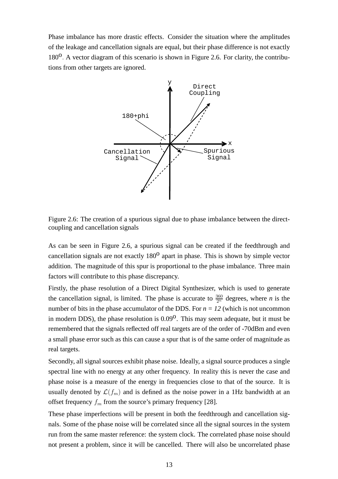Phase imbalance has more drastic effects. Consider the situation where the amplitudes of the leakage and cancellation signals are equal, but their phase difference is not exactly  $180^0$ . A vector diagram of this scenario is shown in Figure 2.6. For clarity, the contributions from other targets are ignored.



Figure 2.6: The creation of a spurious signal due to phase imbalance between the directcoupling and cancellation signals

As can be seen in Figure 2.6, a spurious signal can be created if the feedthrough and cancellation signals are not exactly  $180<sup>o</sup>$  apart in phase. This is shown by simple vector addition. The magnitude of this spur is proportional to the phase imbalance. Three main factors will contribute to this phase discrepancy.

Firstly, the phase resolution of a Direct Digital Synthesizer, which is used to generate the cancellation signal, is limited. The phase is accurate to  $\frac{360}{2^n}$  degrees, where *n* is the number of bits in the phase accumulator of the DDS. For  $n = 12$  (which is not uncommon in modern DDS), the phase resolution is  $0.09^{\circ}$ . This may seem adequate, but it must be remembered that the signals reflected off real targets are of the order of -70dBm and even a small phase error such as this can cause a spur that is of the same order of magnitude as real targets.

Secondly, all signal sources exhibit phase noise. Ideally, a signal source produces a single spectral line with no energy at any other frequency. In reality this is never the case and phase noise is a measure of the energy in frequencies close to that of the source. It is usually denoted by  $\mathcal{L}(f_m)$  and is defined as the noise power in a 1Hz bandwidth at an offset frequency  $f_m$  from the source's primary frequency [28].

These phase imperfections will be present in both the feedthrough and cancellation signals. Some of the phase noise will be correlated since all the signal sources in the system run from the same master reference: the system clock. The correlated phase noise should not present a problem, since it will be cancelled. There will also be uncorrelated phase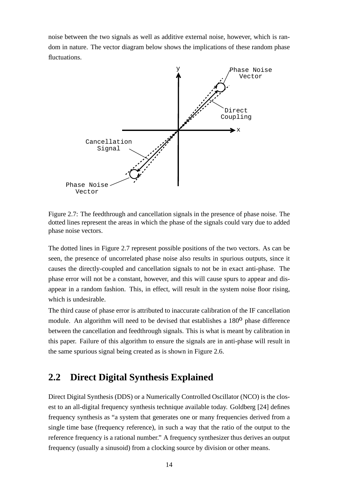noise between the two signals as well as additive external noise, however, which is random in nature. The vector diagram below shows the implications of these random phase fluctuations.



Figure 2.7: The feedthrough and cancellation signals in the presence of phase noise. The dotted lines represent the areas in which the phase of the signals could vary due to added phase noise vectors.

The dotted lines in Figure 2.7 represent possible positions of the two vectors. As can be seen, the presence of uncorrelated phase noise also results in spurious outputs, since it causes the directly-coupled and cancellation signals to not be in exact anti-phase. The phase error will not be a constant, however, and this will cause spurs to appear and disappear in a random fashion. This, in effect, will result in the system noise floor rising, which is undesirable.

The third cause of phase error is attributed to inaccurate calibration of the IF cancellation module. An algorithm will need to be devised that establishes a  $180<sup>0</sup>$  phase difference between the cancellation and feedthrough signals. This is what is meant by calibration in this paper. Failure of this algorithm to ensure the signals are in anti-phase will result in the same spurious signal being created as is shown in Figure 2.6.

# **2.2 Direct Digital Synthesis Explained**

Direct Digital Synthesis (DDS) or a Numerically Controlled Oscillator (NCO) is the closest to an all-digital frequency synthesis technique available today. Goldberg [24] defines frequency synthesis as "a system that generates one or many frequencies derived from a single time base (frequency reference), in such a way that the ratio of the output to the reference frequency is a rational number." A frequency synthesizer thus derives an output frequency (usually a sinusoid) from a clocking source by division or other means.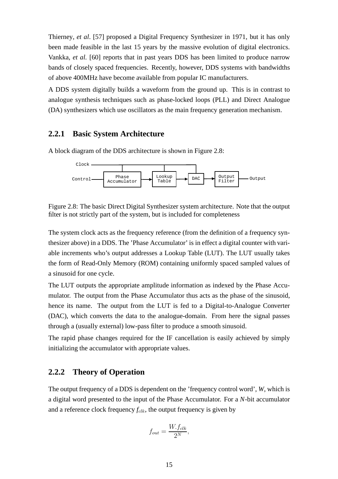Thierney*, et al*. [57] proposed a Digital Frequency Synthesizer in 1971, but it has only been made feasible in the last 15 years by the massive evolution of digital electronics. Vankka, *et al.* [60] reports that in past years DDS has been limited to produce narrow bands of closely spaced frequencies. Recently, however, DDS systems with bandwidths of above 400MHz have become available from popular IC manufacturers.

A DDS system digitally builds a waveform from the ground up. This is in contrast to analogue synthesis techniques such as phase-locked loops (PLL) and Direct Analogue (DA) synthesizers which use oscillators as the main frequency generation mechanism.

### **2.2.1 Basic System Architecture**

A block diagram of the DDS architecture is shown in Figure 2.8:



Figure 2.8: The basic Direct Digital Synthesizer system architecture. Note that the output filter is not strictly part of the system, but is included for completeness

The system clock acts as the frequency reference (from the definition of a frequency synthesizer above) in a DDS. The 'Phase Accumulator' is in effect a digital counter with variable increments who's output addresses a Lookup Table (LUT). The LUT usually takes the form of Read-Only Memory (ROM) containing uniformly spaced sampled values of a sinusoid for one cycle.

The LUT outputs the appropriate amplitude information as indexed by the Phase Accumulator. The output from the Phase Accumulator thus acts as the phase of the sinusoid, hence its name. The output from the LUT is fed to a Digital-to-Analogue Converter (DAC), which converts the data to the analogue-domain. From here the signal passes through a (usually external) low-pass filter to produce a smooth sinusoid.

The rapid phase changes required for the IF cancellation is easily achieved by simply initializing the accumulator with appropriate values.

### **2.2.2 Theory of Operation**

The output frequency of a DDS is dependent on the 'frequency control word', *W*, which is a digital word presented to the input of the Phase Accumulator. For a *N*-bit accumulator and a reference clock frequency  $f_{\text{clk}}$ , the output frequency is given by

$$
f_{out} = \frac{W.f_{clk}}{2^N},
$$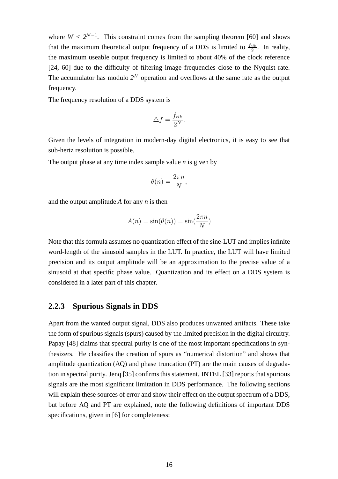where  $W < 2^{\mathcal{N}-1}$ . This constraint comes from the sampling theorem [60] and shows that the maximum theoretical output frequency of a DDS is limited to  $\frac{f_{clk}}{2}$ . In reality, the maximum useable output frequency is limited to about 40% of the clock reference [24, 60] due to the difficulty of filtering image frequencies close to the Nyquist rate. The accumulator has modulo  $2^N$  operation and overflows at the same rate as the output frequency.

The frequency resolution of a DDS system is

$$
\triangle f = \frac{f_{clk}}{2^N}.
$$

Given the levels of integration in modern-day digital electronics, it is easy to see that sub-hertz resolution is possible.

The output phase at any time index sample value *n* is given by

$$
\theta(n) = \frac{2\pi n}{N},
$$

and the output amplitude *A* for any *n* is then

$$
A(n) = \sin(\theta(n)) = \sin(\frac{2\pi n}{N})
$$

Note that this formula assumes no quantization effect of the sine-LUT and implies infinite word-length of the sinusoid samples in the LUT. In practice, the LUT will have limited precision and its output amplitude will be an approximation to the precise value of a sinusoid at that specific phase value. Quantization and its effect on a DDS system is considered in a later part of this chapter.

#### **2.2.3 Spurious Signals in DDS**

Apart from the wanted output signal, DDS also produces unwanted artifacts. These take the form of spurious signals (spurs) caused by the limited precision in the digital circuitry. Papay [48] claims that spectral purity is one of the most important specifications in synthesizers. He classifies the creation of spurs as "numerical distortion" and shows that amplitude quantization (AQ) and phase truncation (PT) are the main causes of degradation in spectral purity. Jenq [35] confirms this statement. INTEL [33] reports that spurious signals are the most significant limitation in DDS performance. The following sections will explain these sources of error and show their effect on the output spectrum of a DDS, but before AQ and PT are explained, note the following definitions of important DDS specifications, given in [6] for completeness: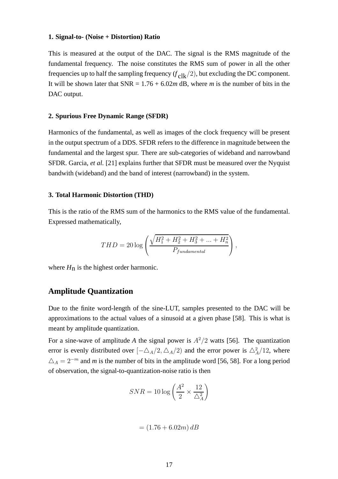#### **1. Signal-to- (Noise + Distortion) Ratio**

This is measured at the output of the DAC. The signal is the RMS magnitude of the fundamental frequency. The noise constitutes the RMS sum of power in all the other frequencies up to half the sampling frequency  $(f_{\text{clk}}/2)$ , but excluding the DC component. It will be shown later that  $SNR = 1.76 + 6.02m$  dB, where *m* is the number of bits in the DAC output.

#### **2. Spurious Free Dynamic Range (SFDR)**

Harmonics of the fundamental, as well as images of the clock frequency will be present in the output spectrum of a DDS. SFDR refers to the difference in magnitude between the fundamental and the largest spur. There are sub-categories of wideband and narrowband SFDR. Garcia, *et al.* [21] explains further that SFDR must be measured over the Nyquist bandwith (wideband) and the band of interest (narrowband) in the system.

#### **3. Total Harmonic Distortion (THD)**

This is the ratio of the RMS sum of the harmonics to the RMS value of the fundamental. Expressed mathematically,

$$
THD = 20 \log \left( \frac{\sqrt{H_1^2 + H_2^2 + H_3^2 + \dots + H_n^2}}{P_{fundamental}} \right),
$$

where  $H<sub>n</sub>$  is the highest order harmonic.

### **Amplitude Quantization**

Due to the finite word-length of the sine-LUT, samples presented to the DAC will be approximations to the actual values of a sinusoid at a given phase [58]. This is what is meant by amplitude quantization.

For a sine-wave of amplitude A the signal power is  $A^2/2$  watts [56]. The quantization error is evenly distributed over  $[-\Delta_A/2, \Delta_A/2)$  and the error power is  $\Delta_A^2/12$ , where  $\Delta_A = 2^{-m}$  and *m* is the number of bits in the amplitude word [56, 58]. For a long period of observation, the signal-to-quantization-noise ratio is then

$$
SNR = 10 \log \left(\frac{A^2}{2} \times \frac{12}{\triangle_A^2}\right)
$$

$$
= (1.76 + 6.02m) \, dB
$$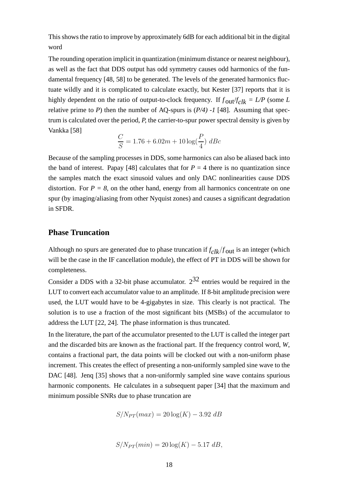This shows the ratio to improve by approximately 6dB for each additional bit in the digital word

The rounding operation implicit in quantization (minimum distance or nearest neighbour), as well as the fact that DDS output has odd symmetry causes odd harmonics of the fundamental frequency [48, 58] to be generated. The levels of the generated harmonics fluctuate wildly and it is complicated to calculate exactly, but Kester [37] reports that it is highly dependent on the ratio of output-to-clock frequency. If  $f_{\text{out}}/f_{\text{clk}} = L/P$  (some *L* relative prime to *P*) then the number of AQ-spurs is (*P/4) -1* [48]. Assuming that spectrum is calculated over the period, *P,* the carrier-to-spur power spectral density is given by Vankka [58]

$$
\frac{C}{S} = 1.76 + 6.02m + 10 \log(\frac{P}{4}) \ dBc
$$

Because of the sampling processes in DDS, some harmonics can also be aliased back into the band of interest. Papay [48] calculates that for  $P = 4$  there is no quantization since the samples match the exact sinusoid values and only DAC nonlinearities cause DDS distortion. For  $P = 8$ , on the other hand, energy from all harmonics concentrate on one spur (by imaging/aliasing from other Nyquist zones) and causes a significant degradation in SFDR.

### **Phase Truncation**

Although no spurs are generated due to phase truncation if  $f_{\text{clk}}/f_{\text{out}}$  is an integer (which will be the case in the IF cancellation module), the effect of PT in DDS will be shown for completeness.

Consider a DDS with a 32-bit phase accumulator.  $2^{32}$  entries would be required in the LUT to convert each accumulator value to an amplitude. If 8-bit amplitude precision were used, the LUT would have to be 4-gigabytes in size. This clearly is not practical. The solution is to use a fraction of the most significant bits (MSBs) of the accumulator to address the LUT [22, 24]. The phase information is thus truncated.

In the literature, the part of the accumulator presented to the LUT is called the integer part and the discarded bits are known as the fractional part. If the frequency control word, *W*, contains a fractional part, the data points will be clocked out with a non-uniform phase increment. This creates the effect of presenting a non-uniformly sampled sine wave to the DAC [48]. Jeng [35] shows that a non-uniformly sampled sine wave contains spurious harmonic components. He calculates in a subsequent paper [34] that the maximum and minimum possible SNRs due to phase truncation are

$$
S/N_{PT}(max) = 20\log(K) - 3.92 \ dB
$$

$$
S/N_{PT}(min) = 20\log(K) - 5.17 dB,
$$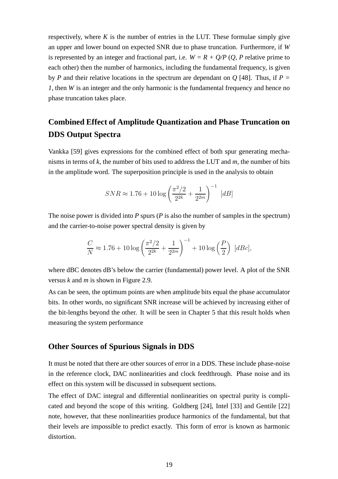respectively, where  $K$  is the number of entries in the LUT. These formulae simply give an upper and lower bound on expected SNR due to phase truncation. Furthermore, if *W* is represented by an integer and fractional part, i.e.  $W = R + O/P$  (*Q, P* relative prime to each other) then the number of harmonics, including the fundamental frequency, is given by *P* and their relative locations in the spectrum are dependant on *Q* [48]. Thus, if *P = 1,* then *W* is an integer and the only harmonic is the fundamental frequency and hence no phase truncation takes place.

# **Combined Effect of Amplitude Quantization and Phase Truncation on DDS Output Spectra**

Vankka [59] gives expressions for the combined effect of both spur generating mechanisms in terms of *k*, the number of bits used to address the LUT and *m,* the number of bits in the amplitude word. The superposition principle is used in the analysis to obtain

$$
SNR \approx 1.76 + 10 \log \left( \frac{\pi^2/2}{2^{2k}} + \frac{1}{2^{2m}} \right)^{-1} [dB]
$$

The noise power is divided into *P* spurs (*P* is also the number of samples in the spectrum) and the carrier-to-noise power spectral density is given by

$$
\frac{C}{N} \approx 1.76 + 10 \log \left( \frac{\pi^2/2}{2^{2k}} + \frac{1}{2^{2m}} \right)^{-1} + 10 \log \left( \frac{P}{2} \right) [d\mathcal{B}c],
$$

where dBC denotes dB's below the carrier (fundamental) power level. A plot of the SNR versus *k* and *m* is shown in Figure 2.9.

As can be seen, the optimum points are when amplitude bits equal the phase accumulator bits. In other words, no significant SNR increase will be achieved by increasing either of the bit-lengths beyond the other. It will be seen in Chapter 5 that this result holds when measuring the system performance

### **Other Sources of Spurious Signals in DDS**

It must be noted that there are other sources of error in a DDS. These include phase-noise in the reference clock, DAC nonlinearities and clock feedthrough. Phase noise and its effect on this system will be discussed in subsequent sections.

The effect of DAC integral and differential nonlinearities on spectral purity is complicated and beyond the scope of this writing. Goldberg [24], Intel [33] and Gentile [22] note, however, that these nonlinearities produce harmonics of the fundamental, but that their levels are impossible to predict exactly. This form of error is known as harmonic distortion.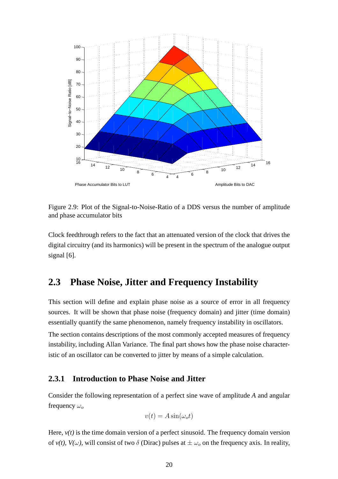

Figure 2.9: Plot of the Signal-to-Noise-Ratio of a DDS versus the number of amplitude and phase accumulator bits

Clock feedthrough refers to the fact that an attenuated version of the clock that drives the digital circuitry (and its harmonics) will be present in the spectrum of the analogue output signal [6].

## **2.3 Phase Noise, Jitter and Frequency Instability**

This section will define and explain phase noise as a source of error in all frequency sources. It will be shown that phase noise (frequency domain) and jitter (time domain) essentially quantify the same phenomenon, namely frequency instability in oscillators. The section contains descriptions of the most commonly accepted measures of frequency instability, including Allan Variance. The final part shows how the phase noise characteristic of an oscillator can be converted to jitter by means of a simple calculation.

### **2.3.1 Introduction to Phase Noise and Jitter**

Consider the following representation of a perfect sine wave of amplitude *A* and angular frequency  $\omega_o$ 

$$
v(t) = A\sin(\omega_o t)
$$

Here,  $v(t)$  is the time domain version of a perfect sinusoid. The frequency domain version of  $v(t)$ ,  $V(\omega)$ , will consist of two  $\delta$  (Dirac) pulses at  $\pm \omega_o$  on the frequency axis. In reality,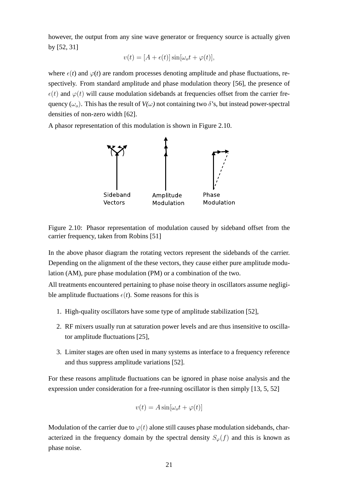however, the output from any sine wave generator or frequency source is actually given by [52, 31]

$$
v(t) = [A + \epsilon(t)]\sin[\omega_o t + \varphi(t)],
$$

where  $\epsilon(t)$  and  $\varphi(t)$  are random processes denoting amplitude and phase fluctuations, respectively. From standard amplitude and phase modulation theory [56], the presence of  $\epsilon(t)$  and  $\varphi(t)$  will cause modulation sidebands at frequencies offset from the carrier frequency ( $\omega_o$ ). This has the result of  $V(\omega)$  not containing two  $\delta$ 's, but instead power-spectral densities of non-zero width [62].

A phasor representation of this modulation is shown in Figure 2.10.



Figure 2.10: Phasor representation of modulation caused by sideband offset from the carrier frequency, taken from Robins [51]

In the above phasor diagram the rotating vectors represent the sidebands of the carrier. Depending on the alignment of the these vectors, they cause either pure amplitude modulation (AM), pure phase modulation (PM) or a combination of the two.

All treatments encountered pertaining to phase noise theory in oscillators assume negligible amplitude fluctuations  $\epsilon(t)$ . Some reasons for this is

- 1. High-quality oscillators have some type of amplitude stabilization [52],
- 2. RF mixers usually run at saturation power levels and are thus insensitive to oscillator amplitude fluctuations [25],
- 3. Limiter stages are often used in many systems as interface to a frequency reference and thus suppress amplitude variations [52].

For these reasons amplitude fluctuations can be ignored in phase noise analysis and the expression under consideration for a free-running oscillator is then simply [13, 5, 52]

$$
v(t) = A\sin[\omega_o t + \varphi(t)]
$$

Modulation of the carrier due to  $\varphi(t)$  alone still causes phase modulation sidebands, characterized in the frequency domain by the spectral density  $S_{\varphi}(f)$  and this is known as phase noise.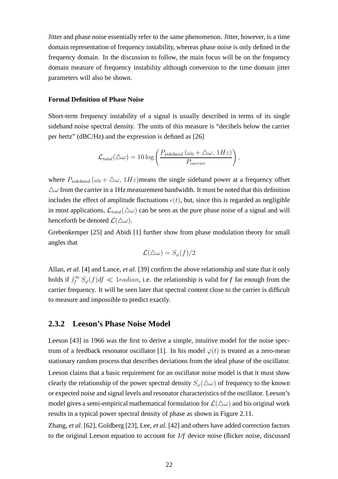Jitter and phase noise essentially refer to the same phenomenon. Jitter, however, is a time domain representation of frequency instability, whereas phase noise is only defined in the frequency domain. In the discussion to follow, the main focus will be on the frequency domain measure of frequency instability although conversion to the time domain jitter parameters will also be shown.

#### **Formal Definition of Phase Noise**

Short-term frequency instability of a signal is usually described in terms of its single sideband noise spectral density. The units of this measure is "decibels below the carrier per hertz" (dBC/Hz) and the expression is defined as [26]

$$
\mathcal{L}_{total}(\triangle \omega) = 10 \log \left( \frac{P_{sideband}(\omega_0 + \triangle \omega, 1Hz)}{P_{carrier}} \right),
$$

where  $P_{sideband}(\omega_0 + \Delta\omega, 1Hz)$  means the single sideband power at a frequency offset  $\Delta\omega$  from the carrier in a 1Hz measurement bandwidth. It must be noted that this definition includes the effect of amplitude fluctuations  $\epsilon(t)$ , but, since this is regarded as negligible in most applications,  $\mathcal{L}_{total}(\Delta\omega)$  can be seen as the pure phase noise of a signal and will henceforth be denoted  $\mathcal{L}(\triangle\omega)$ .

Grebenkemper [25] and Abidi [1] further show from phase modulation theory for small angles that

$$
\mathcal{L}(\triangle\omega) = S_{\varphi}(f)/2
$$

Allan, *et al.* [4] and Lance*, et al*. [39] confirm the above relationship and state that it only holds if  $\int_f^{\infty} S_{\varphi}(f) df \ll 1radian$ , i.e. the relationship is valid for *f* far enough from the carrier frequency. It will be seen later that spectral content close to the carrier is difficult to measure and impossible to predict exactly.

### **2.3.2 Leeson's Phase Noise Model**

Leeson [43] in 1966 was the first to derive a simple, intuitive model for the noise spectrum of a feedback resonator oscillator [1]. In his model  $\varphi(t)$  is treated as a zero-mean stationary random process that describes deviations from the ideal phase of the oscillator. Leeson claims that a basic requirement for an oscillator noise model is that it must show clearly the relationship of the power spectral density  $S_{\varphi}(\Delta\omega)$  of frequency to the known or expected noise and signal levels and resonator characteristics of the oscillator. Leeson's model gives a semi-empirical mathematical formulation for  $\mathcal{L}(\Delta\omega)$  and his original work results in a typical power spectral density of phase as shown in Figure 2.11.

Zhang, *et al*. [62], Goldberg [23], Lee, *et al.* [42] and others have added correction factors to the original Leeson equation to account for *1/f* device noise (flicker noise, discussed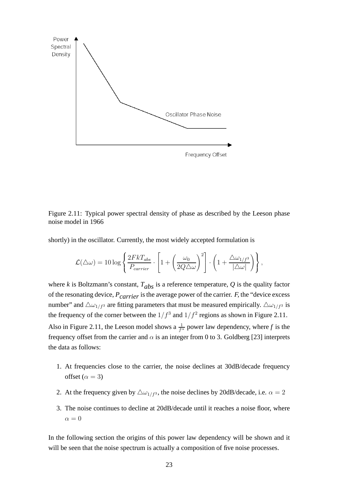

Figure 2.11: Typical power spectral density of phase as described by the Leeson phase noise model in 1966

shortly) in the oscillator. Currently, the most widely accepted formulation is

$$
\mathcal{L}(\triangle\omega) = 10 \log \left\{ \frac{2FkT_{abs}}{P_{carrier}} \cdot \left[ 1 + \left(\frac{\omega_0}{2Q\triangle\omega}\right)^2 \right] \cdot \left( 1 + \frac{\triangle\omega_{1/f^3}}{|\triangle\omega|} \right) \right\},\,
$$

where *k* is Boltzmann's constant,  $T_{abs}$  is a reference temperature, *Q* is the quality factor of the resonating device,  $P_{carrier}$  is the average power of the carrier.  $F$ , the "device excess" number" and  $\Delta \omega_{1/f^3}$  are fitting parameters that must be measured empirically.  $\Delta \omega_{1/f^3}$  is the frequency of the corner between the  $1/f^3$  and  $1/f^2$  regions as shown in Figure 2.11. Also in Figure 2.11, the Leeson model shows a  $\frac{1}{f^{\alpha}}$  power law dependency, where f is the frequency offset from the carrier and  $\alpha$  is an integer from 0 to 3. Goldberg [23] interprets the data as follows:

- 1. At frequencies close to the carrier, the noise declines at 30dB/decade frequency offset ( $\alpha = 3$ )
- 2. At the frequency given by  $\Delta \omega_{1/f^3}$ , the noise declines by 20dB/decade, i.e.  $\alpha = 2$
- 3. The noise continues to decline at 20dB/decade until it reaches a noise floor, where  $\alpha = 0$

In the following section the origins of this power law dependency will be shown and it will be seen that the noise spectrum is actually a composition of five noise processes.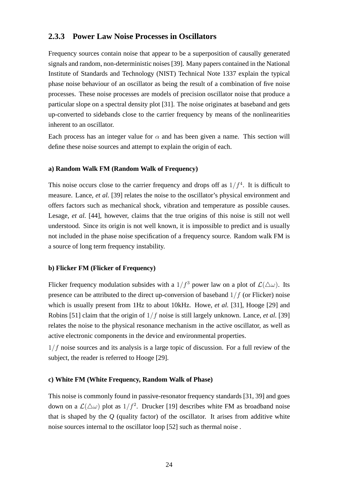### **2.3.3 Power Law Noise Processes in Oscillators**

Frequency sources contain noise that appear to be a superposition of causally generated signals and random, non-deterministic noises [39]. Many papers contained in the National Institute of Standards and Technology (NIST) Technical Note 1337 explain the typical phase noise behaviour of an oscillator as being the result of a combination of five noise processes. These noise processes are models of precision oscillator noise that produce a particular slope on a spectral density plot [31]. The noise originates at baseband and gets up-converted to sidebands close to the carrier frequency by means of the nonlinearities inherent to an oscillator.

Each process has an integer value for  $\alpha$  and has been given a name. This section will define these noise sources and attempt to explain the origin of each.

#### **a) Random Walk FM (Random Walk of Frequency)**

This noise occurs close to the carrier frequency and drops off as  $1/f<sup>4</sup>$ . It is difficult to measure. Lance, *et al.* [39] relates the noise to the oscillator's physical environment and offers factors such as mechanical shock, vibration and temperature as possible causes. Lesage, *et al.* [44], however, claims that the true origins of this noise is still not well understood. Since its origin is not well known, it is impossible to predict and is usually not included in the phase noise specification of a frequency source. Random walk FM is a source of long term frequency instability.

### **b) Flicker FM (Flicker of Frequency)**

Flicker frequency modulation subsides with a  $1/f<sup>3</sup>$  power law on a plot of  $\mathcal{L}(\Delta\omega)$ . Its presence can be attributed to the direct up-conversion of baseband  $1/f$  (or Flicker) noise which is usually present from 1Hz to about 10kHz. Howe, *et al.* [31], Hooge [29] and Robins [51] claim that the origin of 1/f noise is still largely unknown. Lance, *et al.* [39] relates the noise to the physical resonance mechanism in the active oscillator, as well as active electronic components in the device and environmental properties.

 $1/f$  noise sources and its analysis is a large topic of discussion. For a full review of the subject, the reader is referred to Hooge [29].

#### **c) White FM (White Frequency, Random Walk of Phase)**

This noise is commonly found in passive-resonator frequency standards [31, 39] and goes down on a  $\mathcal{L}(\Delta \omega)$  plot as  $1/f^2$ . Drucker [19] describes white FM as broadband noise that is shaped by the  $O$  (quality factor) of the oscillator. It arises from additive white noise sources internal to the oscillator loop [52] such as thermal noise .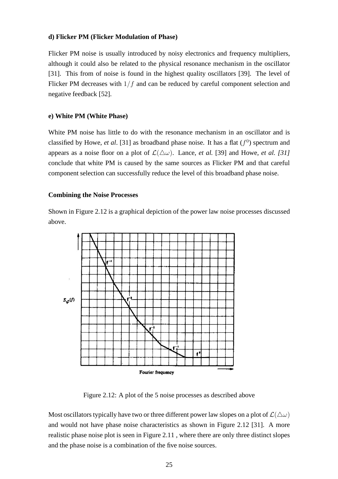#### **d) Flicker PM (Flicker Modulation of Phase)**

Flicker PM noise is usually introduced by noisy electronics and frequency multipliers, although it could also be related to the physical resonance mechanism in the oscillator [31]. This from of noise is found in the highest quality oscillators [39]. The level of Flicker PM decreases with  $1/f$  and can be reduced by careful component selection and negative feedback [52].

#### **e) White PM (White Phase)**

White PM noise has little to do with the resonance mechanism in an oscillator and is classified by Howe, *et al.* [31] as broadband phase noise. It has a flat  $(f<sup>0</sup>)$  spectrum and appears as a noise floor on a plot of  $\mathcal{L}(\triangle \omega)$ . Lance, *et al.* [39] and Howe, *et al.* [31] conclude that white PM is caused by the same sources as Flicker PM and that careful component selection can successfully reduce the level of this broadband phase noise.

#### **Combining the Noise Processes**

Shown in Figure 2.12 is a graphical depiction of the power law noise processes discussed above.



Figure 2.12: A plot of the 5 noise processes as described above

Most oscillators typically have two or three different power law slopes on a plot of  $\mathcal{L}(\Delta\omega)$ and would not have phase noise characteristics as shown in Figure 2.12 [31]. A more realistic phase noise plot is seen in Figure 2.11 , where there are only three distinct slopes and the phase noise is a combination of the five noise sources.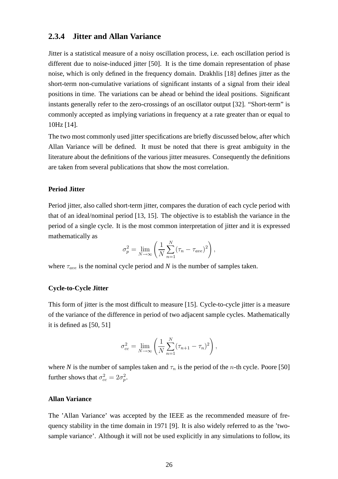#### **2.3.4 Jitter and Allan Variance**

Jitter is a statistical measure of a noisy oscillation process, i.e. each oscillation period is different due to noise-induced jitter [50]. It is the time domain representation of phase noise, which is only defined in the frequency domain. Drakhlis [18] defines jitter as the short-term non-cumulative variations of significant instants of a signal from their ideal positions in time. The variations can be ahead or behind the ideal positions. Significant instants generally refer to the zero-crossings of an oscillator output [32]. "Short-term" is commonly accepted as implying variations in frequency at a rate greater than or equal to 10Hz [14].

The two most commonly used jitter specifications are briefly discussed below, after which Allan Variance will be defined. It must be noted that there is great ambiguity in the literature about the definitions of the various jitter measures. Consequently the definitions are taken from several publications that show the most correlation.

#### **Period Jitter**

Period jitter, also called short-term jitter, compares the duration of each cycle period with that of an ideal/nominal period [13, 15]. The objective is to establish the variance in the period of a single cycle. It is the most common interpretation of jitter and it is expressed mathematically as

$$
\sigma_p^2 = \lim_{N \to \infty} \left( \frac{1}{N} \sum_{n=1}^N (\tau_n - \tau_{ave})^2 \right),
$$

where  $\tau_{ave}$  is the nominal cycle period and *N* is the number of samples taken.

#### **Cycle-to-Cycle Jitter**

This form of jitter is the most difficult to measure [15]. Cycle-to-cycle jitter is a measure of the variance of the difference in period of two adjacent sample cycles. Mathematically it is defined as [50, 51]

$$
\sigma_{cc}^{2} = \lim_{N \to \infty} \left( \frac{1}{N} \sum_{n=1}^{N} (\tau_{n+1} - \tau_n)^2 \right),
$$

where *N* is the number of samples taken and  $\tau_n$  is the period of the *n*-th cycle. Poore [50] further shows that  $\sigma_{cc}^2 = 2\sigma_p^2$  $_{p}^{2}.$ 

#### **Allan Variance**

The 'Allan Variance' was accepted by the IEEE as the recommended measure of frequency stability in the time domain in 1971 [9]. It is also widely referred to as the 'twosample variance'. Although it will not be used explicitly in any simulations to follow, its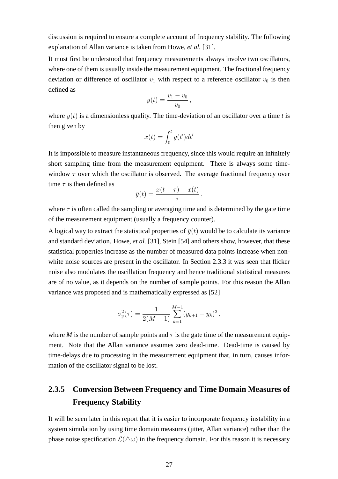discussion is required to ensure a complete account of frequency stability. The following explanation of Allan variance is taken from Howe, *et al.* [31].

It must first be understood that frequency measurements always involve two oscillators, where one of them is usually inside the measurement equipment. The fractional frequency deviation or difference of oscillator  $v_1$  with respect to a reference oscillator  $v_0$  is then defined as

$$
y(t) = \frac{v_1 - v_0}{v_0},
$$

where  $y(t)$  is a dimensionless quality. The time-deviation of an oscillator over a time *t* is then given by

$$
x(t) = \int_0^t y(t')dt'
$$

It is impossible to measure instantaneous frequency, since this would require an infinitely short sampling time from the measurement equipment. There is always some timewindow  $\tau$  over which the oscillator is observed. The average fractional frequency over time  $\tau$  is then defined as

$$
\bar{y}(t) = \frac{x(t+\tau) - x(t)}{\tau},
$$

where  $\tau$  is often called the sampling or averaging time and is determined by the gate time of the measurement equipment (usually a frequency counter).

A logical way to extract the statistical properties of  $\bar{y}(t)$  would be to calculate its variance and standard deviation. Howe, *et al.* [31], Stein [54] and others show, however, that these statistical properties increase as the number of measured data points increase when nonwhite noise sources are present in the oscillator. In Section 2.3.3 it was seen that flicker noise also modulates the oscillation frequency and hence traditional statistical measures are of no value, as it depends on the number of sample points. For this reason the Allan variance was proposed and is mathematically expressed as [52]

$$
\sigma_y^2(\tau) = \frac{1}{2(M-1)} \sum_{k=1}^{M-1} (\bar{y}_{k+1} - \bar{y}_k)^2,
$$

where *M* is the number of sample points and  $\tau$  is the gate time of the measurement equipment. Note that the Allan variance assumes zero dead-time. Dead-time is caused by time-delays due to processing in the measurement equipment that, in turn, causes information of the oscillator signal to be lost.

## **2.3.5 Conversion Between Frequency and Time Domain Measures of Frequency Stability**

It will be seen later in this report that it is easier to incorporate frequency instability in a system simulation by using time domain measures (jitter, Allan variance) rather than the phase noise specification  $\mathcal{L}(\Delta\omega)$  in the frequency domain. For this reason it is necessary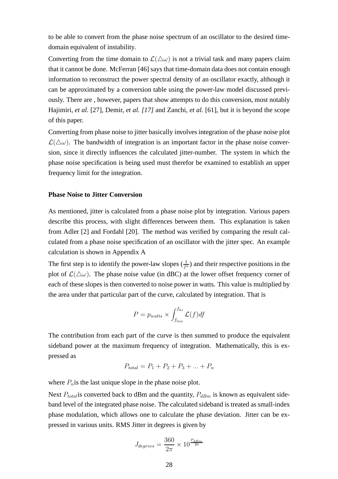to be able to convert from the phase noise spectrum of an oscillator to the desired timedomain equivalent of instability.

Converting from the time domain to  $\mathcal{L}(\Delta \omega)$  is not a trivial task and many papers claim that it cannot be done. McFerran [46] says that time-domain data does not contain enough information to reconstruct the power spectral density of an oscillator exactly, although it can be approximated by a conversion table using the power-law model discussed previously. There are , however, papers that show attempts to do this conversion, most notably Hajimiri, *et al.* [27], Demir, *et al. [17]* and Zanchi, *et al.* [61], but it is beyond the scope of this paper.

Converting from phase noise to jitter basically involves integration of the phase noise plot  $\mathcal{L}(\Delta\omega)$ . The bandwidth of integration is an important factor in the phase noise conversion, since it directly influences the calculated jitter-number. The system in which the phase noise specification is being used must therefor be examined to establish an upper frequency limit for the integration.

#### **Phase Noise to Jitter Conversion**

As mentioned, jitter is calculated from a phase noise plot by integration. Various papers describe this process, with slight differences between them. This explanation is taken from Adler [2] and Fordahl [20]. The method was verified by comparing the result calculated from a phase noise specification of an oscillator with the jitter spec. An example calculation is shown in Appendix A

The first step is to identify the power-law slopes  $(\frac{1}{f^a})$  and their respective positions in the plot of  $\mathcal{L}(\Delta\omega)$ . The phase noise value (in dBC) at the lower offset frequency corner of each of these slopes is then converted to noise power in watts. This value is multiplied by the area under that particular part of the curve, calculated by integration. That is

$$
P = p_{watts} \times \int_{f_{low}}^{f_{hi}} \mathcal{L}(f) df
$$

The contribution from each part of the curve is then summed to produce the equivalent sideband power at the maximum frequency of integration. Mathematically, this is expressed as

$$
P_{total} = P_1 + P_2 + P_3 + \dots + P_n
$$

where  $P_n$  is the last unique slope in the phase noise plot.

Next  $P_{total}$  is converted back to dBm and the quantity,  $P_{dBm}$  is known as equivalent sideband level of the integrated phase noise. The calculated sideband is treated as small-index phase modulation, which allows one to calculate the phase deviation. Jitter can be expressed in various units. RMS Jitter in degrees is given by

$$
J_{degrees} = \frac{360}{2\pi} \times 10^{\frac{P_{dBm}}{20}}
$$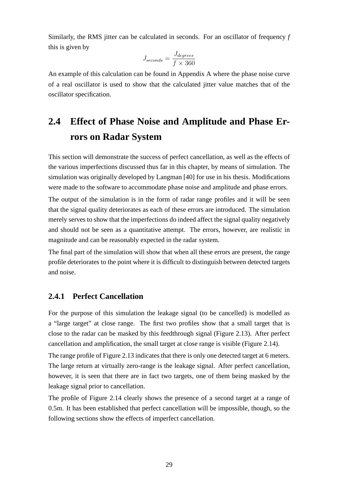Similarly, the RMS jitter can be calculated in seconds. For an oscillator of frequency *f* this is given by

$$
J_{seconds} = \frac{J_{degrees}}{f \times 360}
$$

An example of this calculation can be found in Appendix A where the phase noise curve of a real oscillator is used to show that the calculated jitter value matches that of the oscillator specification.

## **2.4 Effect of Phase Noise and Amplitude and Phase Errors on Radar System**

This section will demonstrate the success of perfect cancellation, as well as the effects of the various imperfections discussed thus far in this chapter, by means of simulation. The simulation was originally developed by Langman [40] for use in his thesis. Modifications were made to the software to accommodate phase noise and amplitude and phase errors.

The output of the simulation is in the form of radar range profiles and it will be seen that the signal quality deteriorates as each of these errors are introduced. The simulation merely serves to show that the imperfections do indeed affect the signal quality negatively and should not be seen as a quantitative attempt. The errors, however, are realistic in magnitude and can be reasonably expected in the radar system.

The final part of the simulation will show that when all these errors are present, the range profile deteriorates to the point where it is difficult to distinguish between detected targets and noise.

#### **2.4.1 Perfect Cancellation**

For the purpose of this simulation the leakage signal (to be cancelled) is modelled as a "large target" at close range. The first two profiles show that a small target that is close to the radar can be masked by this feedthrough signal (Figure 2.13). After perfect cancellation and amplification, the small target at close range is visible (Figure 2.14).

The range profile of Figure 2.13 indicates that there is only one detected target at 6 meters. The large return at virtually zero-range is the leakage signal. After perfect cancellation, however, it is seen that there are in fact two targets, one of them being masked by the leakage signal prior to cancellation.

The profile of Figure 2.14 clearly shows the presence of a second target at a range of 0.5m. It has been established that perfect cancellation will be impossible, though, so the following sections show the effects of imperfect cancellation.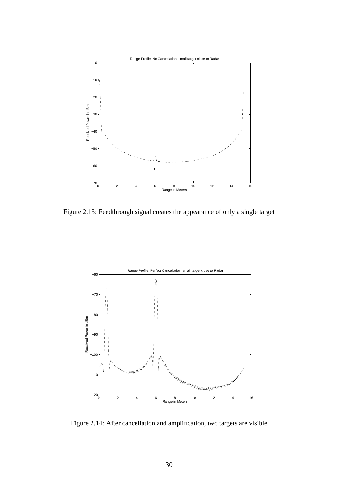

Figure 2.13: Feedthrough signal creates the appearance of only a single target



Figure 2.14: After cancellation and amplification, two targets are visible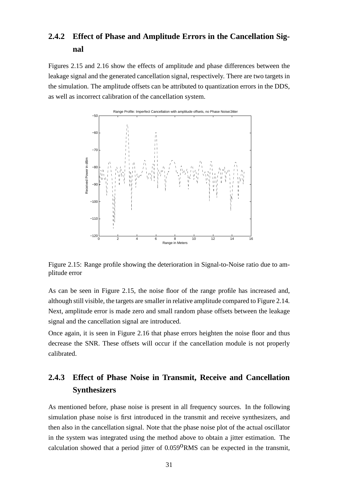## **2.4.2 Effect of Phase and Amplitude Errors in the Cancellation Signal**

Figures 2.15 and 2.16 show the effects of amplitude and phase differences between the leakage signal and the generated cancellation signal, respectively. There are two targets in the simulation. The amplitude offsets can be attributed to quantization errors in the DDS, as well as incorrect calibration of the cancellation system.



Figure 2.15: Range profile showing the deterioration in Signal-to-Noise ratio due to amplitude error

As can be seen in Figure 2.15, the noise floor of the range profile has increased and, although still visible, the targets are smaller in relative amplitude compared to Figure 2.14*.* Next, amplitude error is made zero and small random phase offsets between the leakage signal and the cancellation signal are introduced.

Once again, it is seen in Figure 2.16 that phase errors heighten the noise floor and thus decrease the SNR. These offsets will occur if the cancellation module is not properly calibrated.

## **2.4.3 Effect of Phase Noise in Transmit, Receive and Cancellation Synthesizers**

As mentioned before, phase noise is present in all frequency sources. In the following simulation phase noise is first introduced in the transmit and receive synthesizers, and then also in the cancellation signal. Note that the phase noise plot of the actual oscillator in the system was integrated using the method above to obtain a jitter estimation. The calculation showed that a period jitter of  $0.059^{\circ}$ RMS can be expected in the transmit,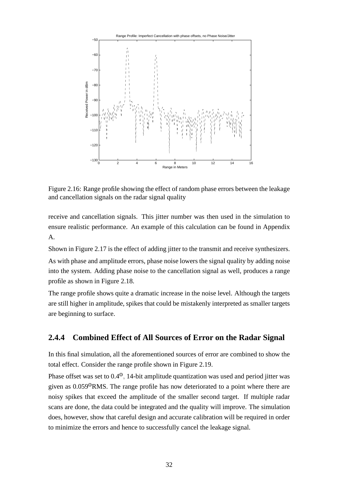

Figure 2.16: Range profile showing the effect of random phase errors between the leakage and cancellation signals on the radar signal quality

receive and cancellation signals. This jitter number was then used in the simulation to ensure realistic performance. An example of this calculation can be found in Appendix A.

Shown in Figure 2.17 is the effect of adding jitter to the transmit and receive synthesizers. As with phase and amplitude errors, phase noise lowers the signal quality by adding noise into the system. Adding phase noise to the cancellation signal as well, produces a range profile as shown in Figure 2.18.

The range profile shows quite a dramatic increase in the noise level. Although the targets are still higher in amplitude, spikes that could be mistakenly interpreted as smaller targets are beginning to surface.

#### **2.4.4 Combined Effect of All Sources of Error on the Radar Signal**

In this final simulation, all the aforementioned sources of error are combined to show the total effect. Consider the range profile shown in Figure 2.19.

Phase offset was set to  $0.4^{\circ}$ , 14-bit amplitude quantization was used and period jitter was given as  $0.059^{\circ}$ RMS. The range profile has now deteriorated to a point where there are noisy spikes that exceed the amplitude of the smaller second target. If multiple radar scans are done, the data could be integrated and the quality will improve. The simulation does, however, show that careful design and accurate calibration will be required in order to minimize the errors and hence to successfully cancel the leakage signal.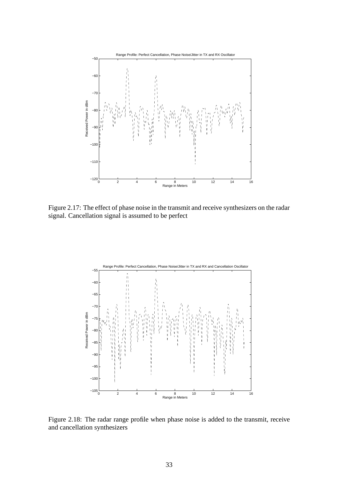

Figure 2.17: The effect of phase noise in the transmit and receive synthesizers on the radar signal. Cancellation signal is assumed to be perfect



Figure 2.18: The radar range profile when phase noise is added to the transmit, receive and cancellation synthesizers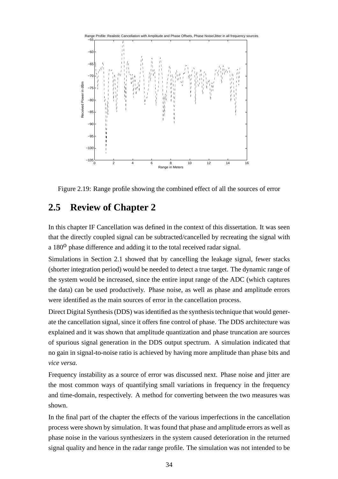

Figure 2.19: Range profile showing the combined effect of all the sources of error

### **2.5 Review of Chapter 2**

In this chapter IF Cancellation was defined in the context of this dissertation. It was seen that the directly coupled signal can be subtracted/cancelled by recreating the signal with a  $180^{\circ}$  phase difference and adding it to the total received radar signal.

Simulations in Section 2.1 showed that by cancelling the leakage signal, fewer stacks (shorter integration period) would be needed to detect a true target. The dynamic range of the system would be increased, since the entire input range of the ADC (which captures the data) can be used productively. Phase noise, as well as phase and amplitude errors were identified as the main sources of error in the cancellation process.

Direct Digital Synthesis (DDS) was identified as the synthesis technique that would generate the cancellation signal, since it offers fine control of phase. The DDS architecture was explained and it was shown that amplitude quantization and phase truncation are sources of spurious signal generation in the DDS output spectrum. A simulation indicated that no gain in signal-to-noise ratio is achieved by having more amplitude than phase bits and *vice versa.*

Frequency instability as a source of error was discussed next. Phase noise and jitter are the most common ways of quantifying small variations in frequency in the frequency and time-domain, respectively. A method for converting between the two measures was shown.

In the final part of the chapter the effects of the various imperfections in the cancellation process were shown by simulation. It was found that phase and amplitude errors as well as phase noise in the various synthesizers in the system caused deterioration in the returned signal quality and hence in the radar range profile. The simulation was not intended to be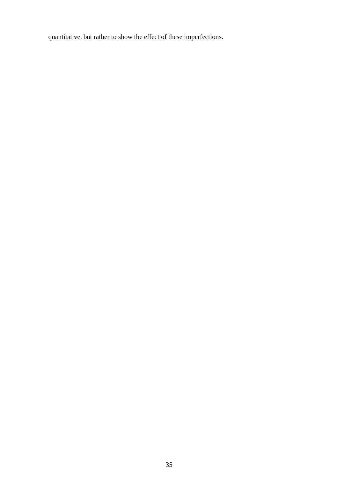quantitative, but rather to show the effect of these imperfections.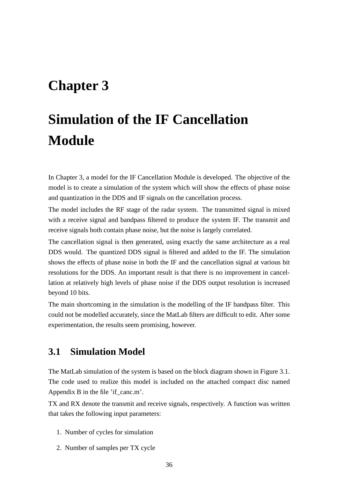## **Chapter 3**

# **Simulation of the IF Cancellation Module**

In Chapter 3, a model for the IF Cancellation Module is developed. The objective of the model is to create a simulation of the system which will show the effects of phase noise and quantization in the DDS and IF signals on the cancellation process.

The model includes the RF stage of the radar system. The transmitted signal is mixed with a receive signal and bandpass filtered to produce the system IF. The transmit and receive signals both contain phase noise, but the noise is largely correlated.

The cancellation signal is then generated, using exactly the same architecture as a real DDS would. The quantized DDS signal is filtered and added to the IF. The simulation shows the effects of phase noise in both the IF and the cancellation signal at various bit resolutions for the DDS. An important result is that there is no improvement in cancellation at relatively high levels of phase noise if the DDS output resolution is increased beyond 10 bits.

The main shortcoming in the simulation is the modelling of the IF bandpass filter. This could not be modelled accurately, since the MatLab filters are difficult to edit. After some experimentation, the results seem promising, however.

## **3.1 Simulation Model**

The MatLab simulation of the system is based on the block diagram shown in Figure 3.1. The code used to realize this model is included on the attached compact disc named Appendix B in the file 'if\_canc.m'.

TX and RX denote the transmit and receive signals, respectively. A function was written that takes the following input parameters:

- 1. Number of cycles for simulation
- 2. Number of samples per TX cycle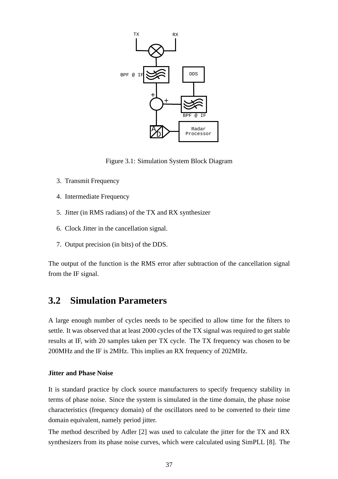

Figure 3.1: Simulation System Block Diagram

- 3. Transmit Frequency
- 4. Intermediate Frequency
- 5. Jitter (in RMS radians) of the TX and RX synthesizer
- 6. Clock Jitter in the cancellation signal.
- 7. Output precision (in bits) of the DDS.

The output of the function is the RMS error after subtraction of the cancellation signal from the IF signal.

## **3.2 Simulation Parameters**

A large enough number of cycles needs to be specified to allow time for the filters to settle. It was observed that at least 2000 cycles of the TX signal was required to get stable results at IF, with 20 samples taken per TX cycle. The TX frequency was chosen to be 200MHz and the IF is 2MHz. This implies an RX frequency of 202MHz.

#### **Jitter and Phase Noise**

It is standard practice by clock source manufacturers to specify frequency stability in terms of phase noise. Since the system is simulated in the time domain, the phase noise characteristics (frequency domain) of the oscillators need to be converted to their time domain equivalent, namely period jitter.

The method described by Adler [2] was used to calculate the jitter for the TX and RX synthesizers from its phase noise curves, which were calculated using SimPLL [8]. The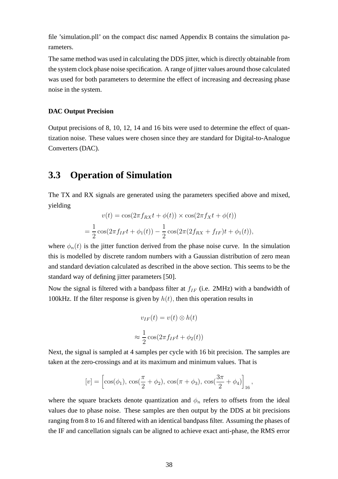file 'simulation.pll' on the compact disc named Appendix B contains the simulation parameters.

The same method was used in calculating the DDS jitter, which is directly obtainable from the system clock phase noise specification. A range of jitter values around those calculated was used for both parameters to determine the effect of increasing and decreasing phase noise in the system.

#### **DAC Output Precision**

Output precisions of 8, 10, 12, 14 and 16 bits were used to determine the effect of quantization noise. These values were chosen since they are standard for Digital-to-Analogue Converters (DAC).

### **3.3 Operation of Simulation**

The TX and RX signals are generated using the parameters specified above and mixed, yielding

$$
v(t) = \cos(2\pi f_{RX}t + \phi(t)) \times \cos(2\pi f_{X}t + \phi(t))
$$
  
=  $\frac{1}{2}\cos(2\pi f_{IF}t + \phi_{1}(t)) - \frac{1}{2}\cos(2\pi (2f_{RX} + f_{IF})t + \phi_{1}(t)),$ 

where  $\phi_n(t)$  is the jitter function derived from the phase noise curve. In the simulation this is modelled by discrete random numbers with a Gaussian distribution of zero mean and standard deviation calculated as described in the above section. This seems to be the standard way of defining jitter parameters [50].

Now the signal is filtered with a bandpass filter at  $f_{IF}$  (i.e. 2MHz) with a bandwidth of 100kHz. If the filter response is given by  $h(t)$ , then this operation results in

$$
v_{IF}(t) = v(t) \otimes h(t)
$$

$$
\approx \frac{1}{2} \cos(2\pi f_{IF}t + \phi_2(t))
$$

Next, the signal is sampled at 4 samples per cycle with 16 bit precision. The samples are taken at the zero-crossings and at its maximum and minimum values. That is

$$
[v] = \left[\cos(\phi_1), \cos(\frac{\pi}{2} + \phi_2), \cos(\pi + \phi_3), \cos(\frac{3\pi}{2} + \phi_4)\right]_{16},
$$

where the square brackets denote quantization and  $\phi_n$  refers to offsets from the ideal values due to phase noise. These samples are then output by the DDS at bit precisions ranging from 8 to 16 and filtered with an identical bandpass filter. Assuming the phases of the IF and cancellation signals can be aligned to achieve exact anti-phase, the RMS error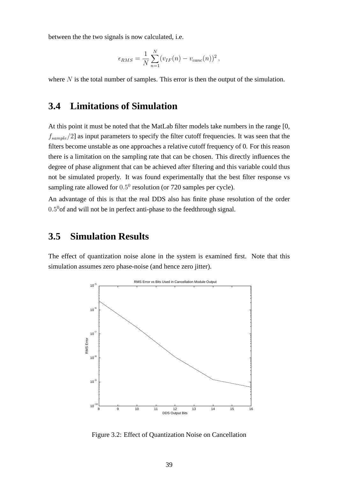between the the two signals is now calculated, i.e.

$$
\epsilon_{RMS} = \frac{1}{N} \sum_{n=1}^{N} (v_{IF}(n) - v_{canc}(n))^2,
$$

where  $N$  is the total number of samples. This error is then the output of the simulation.

### **3.4 Limitations of Simulation**

At this point it must be noted that the MatLab filter models take numbers in the range [0,  $f_{sample}/2$ ] as input parameters to specify the filter cutoff frequencies. It was seen that the filters become unstable as one approaches a relative cutoff frequency of 0. For this reason there is a limitation on the sampling rate that can be chosen. This directly influences the degree of phase alignment that can be achieved after filtering and this variable could thus not be simulated properly. It was found experimentally that the best filter response vs sampling rate allowed for  $0.5^0$  resolution (or 720 samples per cycle).

An advantage of this is that the real DDS also has finite phase resolution of the order  $0.5<sup>0</sup>$  of and will not be in perfect anti-phase to the feedthrough signal.

## **3.5 Simulation Results**

The effect of quantization noise alone in the system is examined first. Note that this simulation assumes zero phase-noise (and hence zero jitter).



Figure 3.2: Effect of Quantization Noise on Cancellation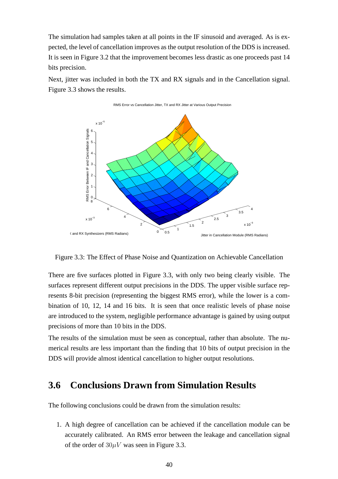The simulation had samples taken at all points in the IF sinusoid and averaged. As is expected, the level of cancellation improves as the output resolution of the DDS is increased. It is seen in Figure 3.2 that the improvement becomes less drastic as one proceeds past 14 bits precision.

Next, jitter was included in both the TX and RX signals and in the Cancellation signal. Figure 3.3 shows the results.



Figure 3.3: The Effect of Phase Noise and Quantization on Achievable Cancellation

There are five surfaces plotted in Figure 3.3, with only two being clearly visible. The surfaces represent different output precisions in the DDS. The upper visible surface represents 8-bit precision (representing the biggest RMS error), while the lower is a combination of 10, 12, 14 and 16 bits. It is seen that once realistic levels of phase noise are introduced to the system, negligible performance advantage is gained by using output precisions of more than 10 bits in the DDS.

The results of the simulation must be seen as conceptual, rather than absolute. The numerical results are less important than the finding that 10 bits of output precision in the DDS will provide almost identical cancellation to higher output resolutions.

## **3.6 Conclusions Drawn from Simulation Results**

The following conclusions could be drawn from the simulation results:

1. A high degree of cancellation can be achieved if the cancellation module can be accurately calibrated. An RMS error between the leakage and cancellation signal of the order of  $30\mu V$  was seen in Figure 3.3.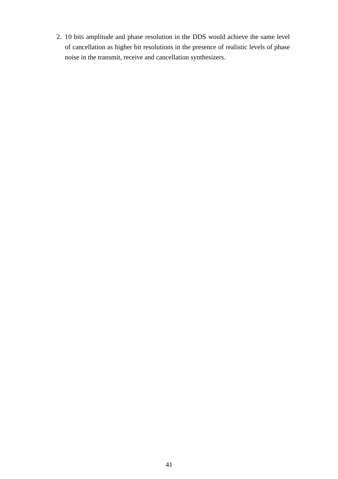2. 10 bits amplitude and phase resolution in the DDS would achieve the same level of cancellation as higher bit resolutions in the presence of realistic levels of phase noise in the transmit, receive and cancellation synthesizers.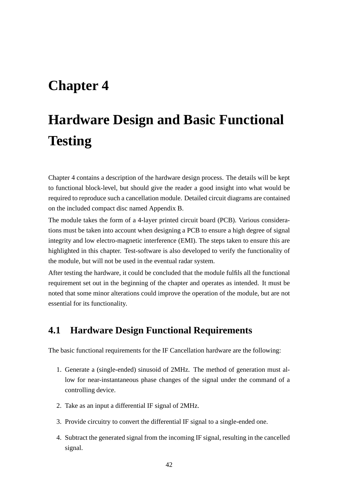## **Chapter 4**

# **Hardware Design and Basic Functional Testing**

Chapter 4 contains a description of the hardware design process. The details will be kept to functional block-level, but should give the reader a good insight into what would be required to reproduce such a cancellation module. Detailed circuit diagrams are contained on the included compact disc named Appendix B.

The module takes the form of a 4-layer printed circuit board (PCB). Various considerations must be taken into account when designing a PCB to ensure a high degree of signal integrity and low electro-magnetic interference (EMI). The steps taken to ensure this are highlighted in this chapter. Test-software is also developed to verify the functionality of the module, but will not be used in the eventual radar system.

After testing the hardware, it could be concluded that the module fulfils all the functional requirement set out in the beginning of the chapter and operates as intended. It must be noted that some minor alterations could improve the operation of the module, but are not essential for its functionality.

## **4.1 Hardware Design Functional Requirements**

The basic functional requirements for the IF Cancellation hardware are the following:

- 1. Generate a (single-ended) sinusoid of 2MHz. The method of generation must allow for near-instantaneous phase changes of the signal under the command of a controlling device.
- 2. Take as an input a differential IF signal of 2MHz.
- 3. Provide circuitry to convert the differential IF signal to a single-ended one.
- 4. Subtract the generated signal from the incoming IF signal, resulting in the cancelled signal.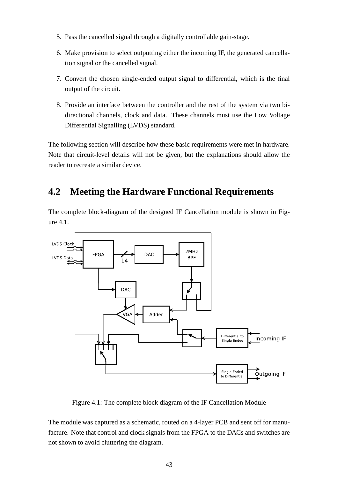- 5. Pass the cancelled signal through a digitally controllable gain-stage.
- 6. Make provision to select outputting either the incoming IF, the generated cancellation signal or the cancelled signal.
- 7. Convert the chosen single-ended output signal to differential, which is the final output of the circuit.
- 8. Provide an interface between the controller and the rest of the system via two bidirectional channels, clock and data. These channels must use the Low Voltage Differential Signalling (LVDS) standard.

The following section will describe how these basic requirements were met in hardware. Note that circuit-level details will not be given, but the explanations should allow the reader to recreate a similar device.

## **4.2 Meeting the Hardware Functional Requirements**

The complete block-diagram of the designed IF Cancellation module is shown in Figure 4.1.



Figure 4.1: The complete block diagram of the IF Cancellation Module

The module was captured as a schematic, routed on a 4-layer PCB and sent off for manufacture. Note that control and clock signals from the FPGA to the DACs and switches are not shown to avoid cluttering the diagram.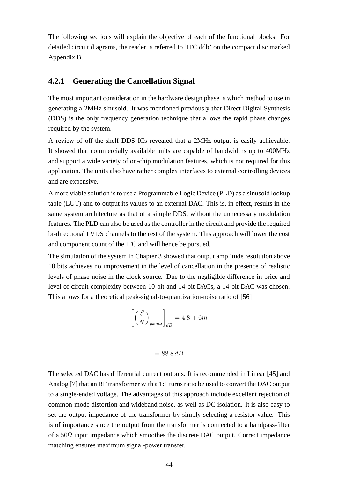The following sections will explain the objective of each of the functional blocks. For detailed circuit diagrams, the reader is referred to 'IFC.ddb' on the compact disc marked Appendix B.

#### **4.2.1 Generating the Cancellation Signal**

The most important consideration in the hardware design phase is which method to use in generating a 2MHz sinusoid. It was mentioned previously that Direct Digital Synthesis (DDS) is the only frequency generation technique that allows the rapid phase changes required by the system.

A review of off-the-shelf DDS ICs revealed that a 2MHz output is easily achievable. It showed that commercially available units are capable of bandwidths up to 400MHz and support a wide variety of on-chip modulation features, which is not required for this application. The units also have rather complex interfaces to external controlling devices and are expensive.

A more viable solution is to use a Programmable Logic Device (PLD) as a sinusoid lookup table (LUT) and to output its values to an external DAC. This is, in effect, results in the same system architecture as that of a simple DDS, without the unnecessary modulation features. The PLD can also be used as the controller in the circuit and provide the required bi-directional LVDS channels to the rest of the system. This approach will lower the cost and component count of the IFC and will hence be pursued.

The simulation of the system in Chapter 3 showed that output amplitude resolution above 10 bits achieves no improvement in the level of cancellation in the presence of realistic levels of phase noise in the clock source. Due to the negligible difference in price and level of circuit complexity between 10-bit and 14-bit DACs, a 14-bit DAC was chosen. This allows for a theoretical peak-signal-to-quantization-noise ratio of [56]

$$
\left[ \left( \frac{S}{N} \right)_{pkqnt} \right]_{dB} = 4.8 + 6m
$$

$$
= 88.8 \, dB
$$

The selected DAC has differential current outputs. It is recommended in Linear [45] and Analog [7] that an RF transformer with a 1:1 turns ratio be used to convert the DAC output to a single-ended voltage. The advantages of this approach include excellent rejection of common-mode distortion and wideband noise, as well as DC isolation. It is also easy to set the output impedance of the transformer by simply selecting a resistor value. This is of importance since the output from the transformer is connected to a bandpass-filter of a  $50\Omega$  input impedance which smoothes the discrete DAC output. Correct impedance matching ensures maximum signal-power transfer.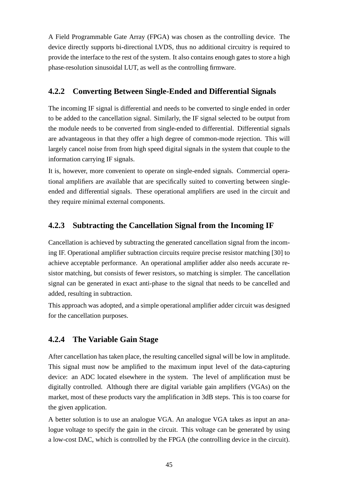A Field Programmable Gate Array (FPGA) was chosen as the controlling device. The device directly supports bi-directional LVDS, thus no additional circuitry is required to provide the interface to the rest of the system. It also contains enough gates to store a high phase-resolution sinusoidal LUT, as well as the controlling firmware.

#### **4.2.2 Converting Between Single-Ended and Differential Signals**

The incoming IF signal is differential and needs to be converted to single ended in order to be added to the cancellation signal. Similarly, the IF signal selected to be output from the module needs to be converted from single-ended to differential. Differential signals are advantageous in that they offer a high degree of common-mode rejection. This will largely cancel noise from from high speed digital signals in the system that couple to the information carrying IF signals.

It is, however, more convenient to operate on single-ended signals. Commercial operational amplifiers are available that are specifically suited to converting between singleended and differential signals. These operational amplifiers are used in the circuit and they require minimal external components.

### **4.2.3 Subtracting the Cancellation Signal from the Incoming IF**

Cancellation is achieved by subtracting the generated cancellation signal from the incoming IF. Operational amplifier subtraction circuits require precise resistor matching [30] to achieve acceptable performance. An operational amplifier adder also needs accurate resistor matching, but consists of fewer resistors, so matching is simpler. The cancellation signal can be generated in exact anti-phase to the signal that needs to be cancelled and added, resulting in subtraction.

This approach was adopted, and a simple operational amplifier adder circuit was designed for the cancellation purposes.

### **4.2.4 The Variable Gain Stage**

After cancellation has taken place, the resulting cancelled signal will be low in amplitude. This signal must now be amplified to the maximum input level of the data-capturing device: an ADC located elsewhere in the system. The level of amplification must be digitally controlled. Although there are digital variable gain amplifiers (VGAs) on the market, most of these products vary the amplification in 3dB steps. This is too coarse for the given application.

A better solution is to use an analogue VGA. An analogue VGA takes as input an analogue voltage to specify the gain in the circuit. This voltage can be generated by using a low-cost DAC, which is controlled by the FPGA (the controlling device in the circuit).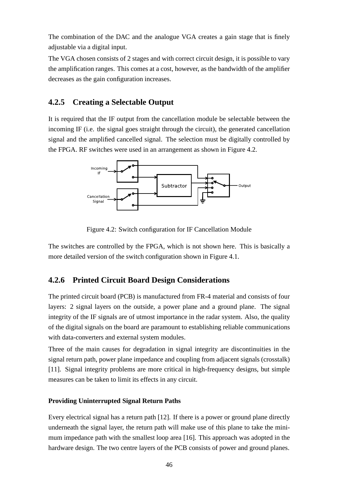The combination of the DAC and the analogue VGA creates a gain stage that is finely adjustable via a digital input.

The VGA chosen consists of 2 stages and with correct circuit design, it is possible to vary the amplification ranges. This comes at a cost, however, as the bandwidth of the amplifier decreases as the gain configuration increases.

#### **4.2.5 Creating a Selectable Output**

It is required that the IF output from the cancellation module be selectable between the incoming IF (i.e. the signal goes straight through the circuit), the generated cancellation signal and the amplified cancelled signal. The selection must be digitally controlled by the FPGA. RF switches were used in an arrangement as shown in Figure 4.2.



Figure 4.2: Switch configuration for IF Cancellation Module

The switches are controlled by the FPGA, which is not shown here. This is basically a more detailed version of the switch configuration shown in Figure 4.1.

#### **4.2.6 Printed Circuit Board Design Considerations**

The printed circuit board (PCB) is manufactured from FR-4 material and consists of four layers: 2 signal layers on the outside, a power plane and a ground plane. The signal integrity of the IF signals are of utmost importance in the radar system. Also, the quality of the digital signals on the board are paramount to establishing reliable communications with data-converters and external system modules.

Three of the main causes for degradation in signal integrity are discontinuities in the signal return path, power plane impedance and coupling from adjacent signals (crosstalk) [11]. Signal integrity problems are more critical in high-frequency designs, but simple measures can be taken to limit its effects in any circuit.

#### **Providing Uninterrupted Signal Return Paths**

Every electrical signal has a return path [12]. If there is a power or ground plane directly underneath the signal layer, the return path will make use of this plane to take the minimum impedance path with the smallest loop area [16]. This approach was adopted in the hardware design. The two centre layers of the PCB consists of power and ground planes.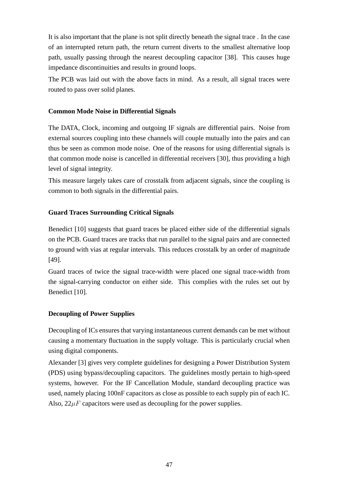It is also important that the plane is not split directly beneath the signal trace . In the case of an interrupted return path, the return current diverts to the smallest alternative loop path, usually passing through the nearest decoupling capacitor [38]. This causes huge impedance discontinuities and results in ground loops.

The PCB was laid out with the above facts in mind. As a result, all signal traces were routed to pass over solid planes.

#### **Common Mode Noise in Differential Signals**

The DATA, Clock, incoming and outgoing IF signals are differential pairs. Noise from external sources coupling into these channels will couple mutually into the pairs and can thus be seen as common mode noise. One of the reasons for using differential signals is that common mode noise is cancelled in differential receivers [30], thus providing a high level of signal integrity.

This measure largely takes care of crosstalk from adjacent signals, since the coupling is common to both signals in the differential pairs.

#### **Guard Traces Surrounding Critical Signals**

Benedict [10] suggests that guard traces be placed either side of the differential signals on the PCB. Guard traces are tracks that run parallel to the signal pairs and are connected to ground with vias at regular intervals. This reduces crosstalk by an order of magnitude [49].

Guard traces of twice the signal trace-width were placed one signal trace-width from the signal-carrying conductor on either side. This complies with the rules set out by Benedict [10].

#### **Decoupling of Power Supplies**

Decoupling of ICs ensures that varying instantaneous current demands can be met without causing a momentary fluctuation in the supply voltage. This is particularly crucial when using digital components.

Alexander [3] gives very complete guidelines for designing a Power Distribution System (PDS) using bypass/decoupling capacitors. The guidelines mostly pertain to high-speed systems, however. For the IF Cancellation Module, standard decoupling practice was used, namely placing 100nF capacitors as close as possible to each supply pin of each IC. Also,  $22\mu$ F capacitors were used as decoupling for the power supplies.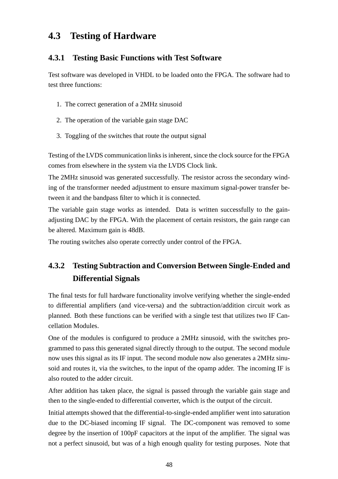## **4.3 Testing of Hardware**

### **4.3.1 Testing Basic Functions with Test Software**

Test software was developed in VHDL to be loaded onto the FPGA. The software had to test three functions:

- 1. The correct generation of a 2MHz sinusoid
- 2. The operation of the variable gain stage DAC
- 3. Toggling of the switches that route the output signal

Testing of the LVDS communication links is inherent, since the clock source for the FPGA comes from elsewhere in the system via the LVDS Clock link.

The 2MHz sinusoid was generated successfully. The resistor across the secondary winding of the transformer needed adjustment to ensure maximum signal-power transfer between it and the bandpass filter to which it is connected.

The variable gain stage works as intended. Data is written successfully to the gainadjusting DAC by the FPGA. With the placement of certain resistors, the gain range can be altered. Maximum gain is 48dB.

The routing switches also operate correctly under control of the FPGA.

## **4.3.2 Testing Subtraction and Conversion Between Single-Ended and Differential Signals**

The final tests for full hardware functionality involve verifying whether the single-ended to differential amplifiers (and vice-versa) and the subtraction/addition circuit work as planned. Both these functions can be verified with a single test that utilizes two IF Cancellation Modules.

One of the modules is configured to produce a 2MHz sinusoid, with the switches programmed to pass this generated signal directly through to the output. The second module now uses this signal as its IF input. The second module now also generates a 2MHz sinusoid and routes it, via the switches, to the input of the opamp adder. The incoming IF is also routed to the adder circuit.

After addition has taken place, the signal is passed through the variable gain stage and then to the single-ended to differential converter, which is the output of the circuit.

Initial attempts showed that the differential-to-single-ended amplifier went into saturation due to the DC-biased incoming IF signal. The DC-component was removed to some degree by the insertion of 100pF capacitors at the input of the amplifier. The signal was not a perfect sinusoid, but was of a high enough quality for testing purposes. Note that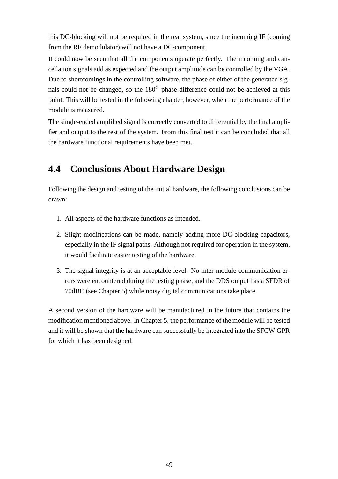this DC-blocking will not be required in the real system, since the incoming IF (coming from the RF demodulator) will not have a DC-component.

It could now be seen that all the components operate perfectly. The incoming and cancellation signals add as expected and the output amplitude can be controlled by the VGA. Due to shortcomings in the controlling software, the phase of either of the generated signals could not be changed, so the  $180<sup>0</sup>$  phase difference could not be achieved at this point. This will be tested in the following chapter, however, when the performance of the module is measured.

The single-ended amplified signal is correctly converted to differential by the final amplifier and output to the rest of the system. From this final test it can be concluded that all the hardware functional requirements have been met.

## **4.4 Conclusions About Hardware Design**

Following the design and testing of the initial hardware, the following conclusions can be drawn:

- 1. All aspects of the hardware functions as intended.
- 2. Slight modifications can be made, namely adding more DC-blocking capacitors, especially in the IF signal paths. Although not required for operation in the system, it would facilitate easier testing of the hardware.
- 3. The signal integrity is at an acceptable level. No inter-module communication errors were encountered during the testing phase, and the DDS output has a SFDR of 70dBC (see Chapter 5) while noisy digital communications take place.

A second version of the hardware will be manufactured in the future that contains the modification mentioned above. In Chapter 5, the performance of the module will be tested and it will be shown that the hardware can successfully be integrated into the SFCW GPR for which it has been designed.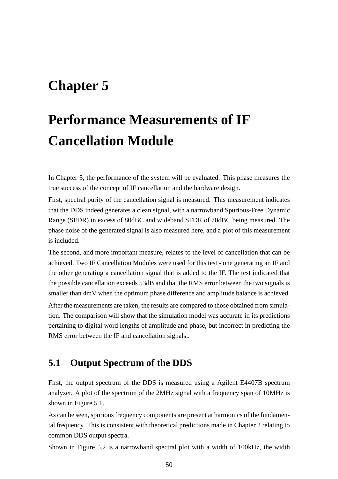## **Chapter 5**

# **Performance Measurements of IF Cancellation Module**

In Chapter 5, the performance of the system will be evaluated. This phase measures the true success of the concept of IF cancellation and the hardware design.

First, spectral purity of the cancellation signal is measured. This measurement indicates that the DDS indeed generates a clean signal, with a narrowband Spurious-Free Dynamic Range (SFDR) in excess of 80dBC and wideband SFDR of 70dBC being measured. The phase noise of the generated signal is also measured here, and a plot of this measurement is included.

The second, and more important measure, relates to the level of cancellation that can be achieved. Two IF Cancellation Modules were used for this test - one generating an IF and the other generating a cancellation signal that is added to the IF. The test indicated that the possible cancellation exceeds 53dB and that the RMS error between the two signals is smaller than 4mV when the optimum phase difference and amplitude balance is achieved. After the measurements are taken, the results are compared to those obtained from simulation. The comparison will show that the simulation model was accurate in its predictions pertaining to digital word lengths of amplitude and phase, but incorrect in predicting the RMS error between the IF and cancellation signals..

## **5.1 Output Spectrum of the DDS**

First, the output spectrum of the DDS is measured using a Agilent E4407B spectrum analyzer. A plot of the spectrum of the 2MHz signal with a frequency span of 10MHz is shown in Figure 5.1.

As can be seen, spurious frequency components are present at harmonics of the fundamental frequency. This is consistent with theoretical predictions made in Chapter 2 relating to common DDS output spectra.

Shown in Figure 5.2 is a narrowband spectral plot with a width of 100kHz, the width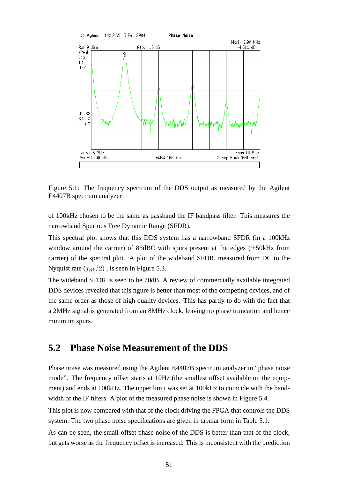

Figure 5.1: The frequency spectrum of the DDS output as measured by the Agilent E4407B spectrum analyzer

of 100kHz chosen to be the same as passband the IF bandpass filter. This measures the narrowband Spurious Free Dynamic Range (SFDR).

This spectral plot shows that this DDS system has a narrowband SFDR (in a 100kHz window around the carrier) of 85dBC with spurs present at the edges  $(\pm 50$ kHz from carrier) of the spectral plot. A plot of the wideband SFDR, measured from DC to the Nyquist rate  $(f_{clk}/2)$ , is seen in Figure 5.3.

The wideband SFDR is seen to be 70dB. A review of commercially available integrated DDS devices revealed that this figure is better than most of the competing devices, and of the same order as those of high quality devices. This has partly to do with the fact that a 2MHz signal is generated from an 8MHz clock, leaving no phase truncation and hence minimum spurs.

## **5.2 Phase Noise Measurement of the DDS**

Phase noise was measured using the Agilent E4407B spectrum analyzer in "phase noise mode". The frequency offset starts at 10Hz (the smallest offset available on the equipment) and ends at 100kHz. The upper limit was set at 100kHz to coincide with the bandwidth of the IF filters. A plot of the measured phase noise is shown in Figure 5.4.

This plot is now compared with that of the clock driving the FPGA that controls the DDS system. The two phase noise specifications are given in tabular form in Table 5.1.

As can be seen, the small-offset phase noise of the DDS is better than that of the clock, but gets worse as the frequency offset is increased. This is inconsistent with the prediction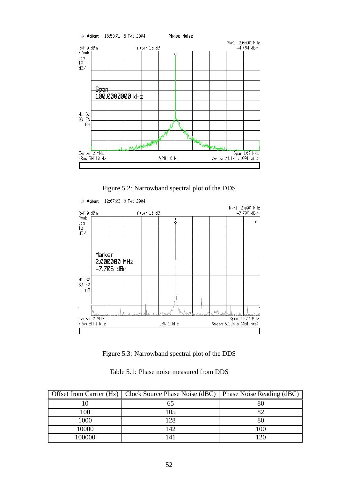

Figure 5.2: Narrowband spectral plot of the DDS



Figure 5.3: Narrowband spectral plot of the DDS

|  |  |  | Table 5.1: Phase noise measured from DDS |  |  |
|--|--|--|------------------------------------------|--|--|
|--|--|--|------------------------------------------|--|--|

|        | Offset from Carrier (Hz)   Clock Source Phase Noise (dBC)   Phase Noise Reading (dBC) |           |
|--------|---------------------------------------------------------------------------------------|-----------|
|        |                                                                                       |           |
| 00 ا   | 05                                                                                    |           |
| 1000   | 28                                                                                    |           |
| 10000  | 42                                                                                    | 100       |
| 100000 |                                                                                       | $\bigcap$ |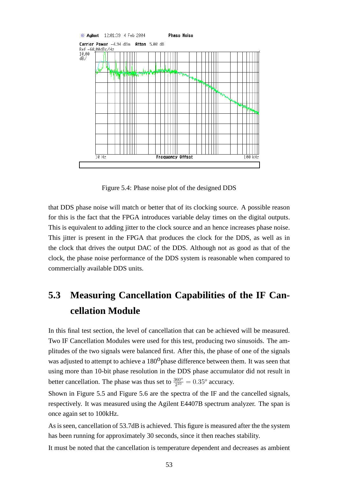

Figure 5.4: Phase noise plot of the designed DDS

that DDS phase noise will match or better that of its clocking source. A possible reason for this is the fact that the FPGA introduces variable delay times on the digital outputs. This is equivalent to adding jitter to the clock source and an hence increases phase noise. This jitter is present in the FPGA that produces the clock for the DDS, as well as in the clock that drives the output DAC of the DDS. Although not as good as that of the clock, the phase noise performance of the DDS system is reasonable when compared to commercially available DDS units.

## **5.3 Measuring Cancellation Capabilities of the IF Cancellation Module**

In this final test section, the level of cancellation that can be achieved will be measured. Two IF Cancellation Modules were used for this test, producing two sinusoids. The amplitudes of the two signals were balanced first. After this, the phase of one of the signals was adjusted to attempt to achieve a 180<sup>0</sup> phase difference between them. It was seen that using more than 10-bit phase resolution in the DDS phase accumulator did not result in better cancellation. The phase was thus set to  $\frac{360^{\circ}}{2^{10}} = 0.35^{\circ}$  accuracy.

Shown in Figure 5.5 and Figure 5.6 are the spectra of the IF and the cancelled signals, respectively. It was measured using the Agilent E4407B spectrum analyzer. The span is once again set to 100kHz.

As is seen, cancellation of 53.7dB is achieved. This figure is measured after the the system has been running for approximately 30 seconds, since it then reaches stability.

It must be noted that the cancellation is temperature dependent and decreases as ambient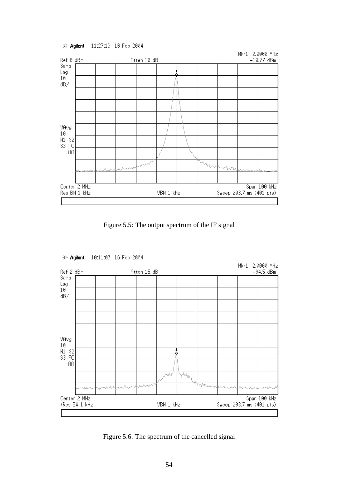11:27:13 16 Feb 2004 **EXAgilent** 



Figure 5.5: The output spectrum of the IF signal



Figure 5.6: The spectrum of the cancelled signal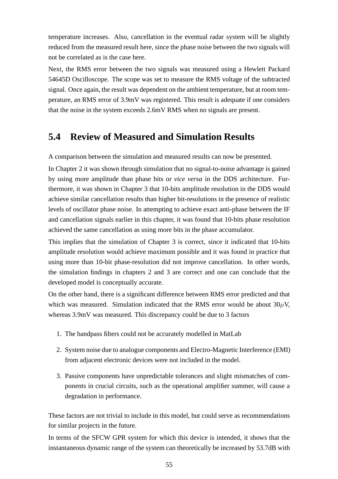temperature increases. Also, cancellation in the eventual radar system will be slightly reduced from the measured result here, since the phase noise between the two signals will not be correlated as is the case here.

Next, the RMS error between the two signals was measured using a Hewlett Packard 54645D Oscilloscope. The scope was set to measure the RMS voltage of the subtracted signal. Once again, the result was dependent on the ambient temperature, but at room temperature, an RMS error of 3.9mV was registered. This result is adequate if one considers that the noise in the system exceeds 2.6mV RMS when no signals are present.

## **5.4 Review of Measured and Simulation Results**

A comparison between the simulation and measured results can now be presented.

In Chapter 2 it was shown through simulation that no signal-to-noise advantage is gained by using more amplitude than phase bits or *vice versa* in the DDS architecture. Furthermore, it was shown in Chapter 3 that 10-bits amplitude resolution in the DDS would achieve similar cancellation results than higher bit-resolutions in the presence of realistic levels of oscillator phase noise. In attempting to achieve exact anti-phase between the IF and cancellation signals earlier in this chapter, it was found that 10-bits phase resolution achieved the same cancellation as using more bits in the phase accumulator.

This implies that the simulation of Chapter 3 is correct, since it indicated that 10-bits amplitude resolution would achieve maximum possible and it was found in practice that using more than 10-bit phase-resolution did not improve cancellation. In other words, the simulation findings in chapters 2 and 3 are correct and one can conclude that the developed model is conceptually accurate.

On the other hand, there is a significant difference between RMS error predicted and that which was measured. Simulation indicated that the RMS error would be about  $30\mu$ V, whereas 3.9mV was measured. This discrepancy could be due to 3 factors

- 1. The bandpass filters could not be accurately modelled in MatLab
- 2. System noise due to analogue components and Electro-Magnetic Interference (EMI) from adjacent electronic devices were not included in the model.
- 3. Passive components have unpredictable tolerances and slight mismatches of components in crucial circuits, such as the operational amplifier summer, will cause a degradation in performance.

These factors are not trivial to include in this model, but could serve as recommendations for similar projects in the future.

In terms of the SFCW GPR system for which this device is intended, it shows that the instantaneous dynamic range of the system can theoretically be increased by 53.7dB with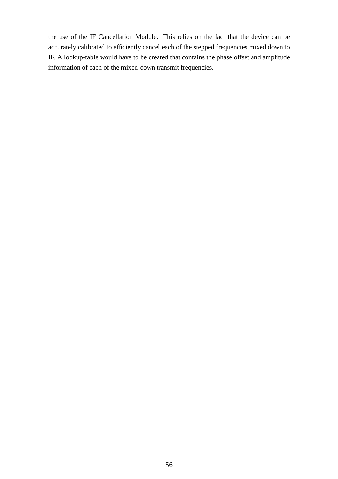the use of the IF Cancellation Module. This relies on the fact that the device can be accurately calibrated to efficiently cancel each of the stepped frequencies mixed down to IF. A lookup-table would have to be created that contains the phase offset and amplitude information of each of the mixed-down transmit frequencies.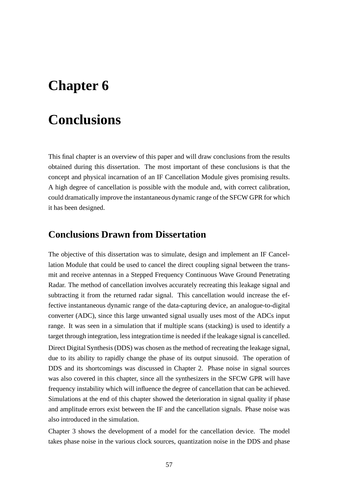## **Chapter 6**

## **Conclusions**

This final chapter is an overview of this paper and will draw conclusions from the results obtained during this dissertation. The most important of these conclusions is that the concept and physical incarnation of an IF Cancellation Module gives promising results. A high degree of cancellation is possible with the module and, with correct calibration, could dramatically improve the instantaneous dynamic range of the SFCW GPR for which it has been designed.

### **Conclusions Drawn from Dissertation**

The objective of this dissertation was to simulate, design and implement an IF Cancellation Module that could be used to cancel the direct coupling signal between the transmit and receive antennas in a Stepped Frequency Continuous Wave Ground Penetrating Radar. The method of cancellation involves accurately recreating this leakage signal and subtracting it from the returned radar signal. This cancellation would increase the effective instantaneous dynamic range of the data-capturing device, an analogue-to-digital converter (ADC), since this large unwanted signal usually uses most of the ADCs input range. It was seen in a simulation that if multiple scans (stacking) is used to identify a target through integration, less integration time is needed if the leakage signal is cancelled. Direct Digital Synthesis (DDS) was chosen as the method of recreating the leakage signal, due to its ability to rapidly change the phase of its output sinusoid. The operation of DDS and its shortcomings was discussed in Chapter 2. Phase noise in signal sources was also covered in this chapter, since all the synthesizers in the SFCW GPR will have frequency instability which will influence the degree of cancellation that can be achieved. Simulations at the end of this chapter showed the deterioration in signal quality if phase and amplitude errors exist between the IF and the cancellation signals. Phase noise was also introduced in the simulation.

Chapter 3 shows the development of a model for the cancellation device. The model takes phase noise in the various clock sources, quantization noise in the DDS and phase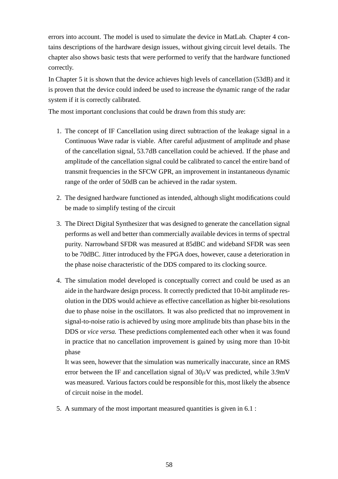errors into account. The model is used to simulate the device in MatLab. Chapter 4 contains descriptions of the hardware design issues, without giving circuit level details. The chapter also shows basic tests that were performed to verify that the hardware functioned correctly.

In Chapter 5 it is shown that the device achieves high levels of cancellation (53dB) and it is proven that the device could indeed be used to increase the dynamic range of the radar system if it is correctly calibrated.

The most important conclusions that could be drawn from this study are:

- 1. The concept of IF Cancellation using direct subtraction of the leakage signal in a Continuous Wave radar is viable. After careful adjustment of amplitude and phase of the cancellation signal, 53.7dB cancellation could be achieved. If the phase and amplitude of the cancellation signal could be calibrated to cancel the entire band of transmit frequencies in the SFCW GPR, an improvement in instantaneous dynamic range of the order of 50dB can be achieved in the radar system.
- 2. The designed hardware functioned as intended, although slight modifications could be made to simplify testing of the circuit
- 3. The Direct Digital Synthesizer that was designed to generate the cancellation signal performs as well and better than commercially available devices in terms of spectral purity. Narrowband SFDR was measured at 85dBC and wideband SFDR was seen to be 70dBC. Jitter introduced by the FPGA does, however, cause a deterioration in the phase noise characteristic of the DDS compared to its clocking source.
- 4. The simulation model developed is conceptually correct and could be used as an aide in the hardware design process. It correctly predicted that 10-bit amplitude resolution in the DDS would achieve as effective cancellation as higher bit-resolutions due to phase noise in the oscillators. It was also predicted that no improvement in signal-to-noise ratio is achieved by using more amplitude bits than phase bits in the DDS or *vice versa.* These predictions complemented each other when it was found in practice that no cancellation improvement is gained by using more than 10-bit phase

It was seen, however that the simulation was numerically inaccurate, since an RMS error between the IF and cancellation signal of  $30\mu$ V was predicted, while 3.9mV was measured. Various factors could be responsible for this, most likely the absence of circuit noise in the model.

5. A summary of the most important measured quantities is given in 6.1 :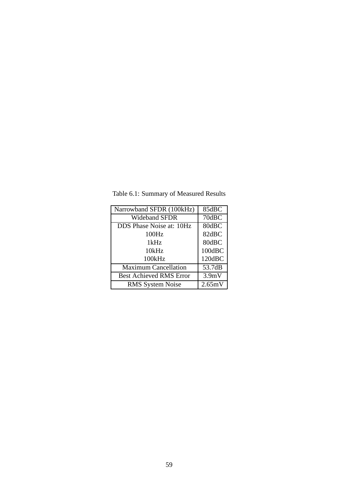| Narrowband SFDR (100kHz)       | 85dBC  |
|--------------------------------|--------|
| <b>Wideband SFDR</b>           | 70dBC  |
| DDS Phase Noise at: 10Hz       | 80dBC  |
| 100Hz                          | 82dBC  |
| 1kHz                           | 80dBC  |
| 10kHz                          | 100dBC |
| 100kHz                         | 120dBC |
| <b>Maximum Cancellation</b>    | 53.7dB |
| <b>Best Achieved RMS Error</b> | 3.9mV  |
| <b>RMS</b> System Noise        | 2.65mV |

Table 6.1: Summary of Measured Results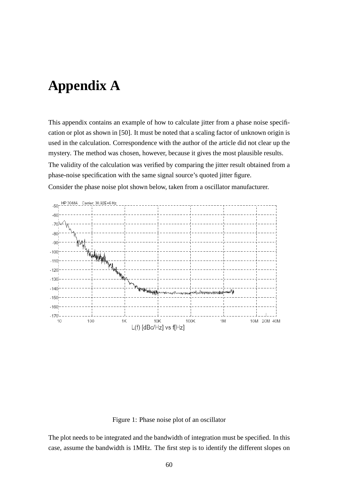## **Appendix A**

This appendix contains an example of how to calculate jitter from a phase noise specification or plot as shown in [50]. It must be noted that a scaling factor of unknown origin is used in the calculation. Correspondence with the author of the article did not clear up the mystery. The method was chosen, however, because it gives the most plausible results. The validity of the calculation was verified by comparing the jitter result obtained from a phase-noise specification with the same signal source's quoted jitter figure. Consider the phase noise plot shown below, taken from a oscillator manufacturer.



Figure 1: Phase noise plot of an oscillator

The plot needs to be integrated and the bandwidth of integration must be specified. In this case, assume the bandwidth is 1MHz. The first step is to identify the different slopes on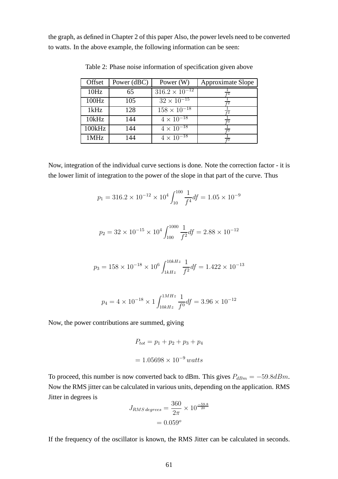the graph, as defined in Chapter 2 of this paper Also, the power levels need to be converted to watts. In the above example, the following information can be seen:

| Offset | Power (dBC) | Power $(W)$                     | <b>Approximate Slope</b> |
|--------|-------------|---------------------------------|--------------------------|
| 10Hz   | 65          | $316.2 \times 10^{-12}$         |                          |
| 100Hz  | 105         | $32 \times \overline{10^{-15}}$ |                          |
| 1kHz   | 128         | $158 \times 10^{-18}$           |                          |
| 10kHz  | 144         | $4 \times 10^{-18}$             |                          |
| 100kHz | 144         | $4 \times 10^{-18}$             |                          |
| 1MHz   | 144         | $4 \times \overline{10^{-18}}$  |                          |

Table 2: Phase noise information of specification given above

Now, integration of the individual curve sections is done. Note the correction factor - it is the lower limit of integration to the power of the slope in that part of the curve. Thus

$$
p_1 = 316.2 \times 10^{-12} \times 10^4 \int_{10}^{100} \frac{1}{f^4} df = 1.05 \times 10^{-9}
$$

$$
p_2 = 32 \times 10^{-15} \times 10^4 \int_{100}^{1000} \frac{1}{f^2} df = 2.88 \times 10^{-12}
$$

$$
p_3 = 158 \times 10^{-18} \times 10^6 \int_{1kHz}^{10kHz} \frac{1}{f^2} df = 1.422 \times 10^{-13}
$$

$$
p_4 = 4 \times 10^{-18} \times 1 \int_{10kHz}^{1MHz} \frac{1}{f^0} df = 3.96 \times 10^{-12}
$$

Now, the power contributions are summed, giving

$$
P_{tot} = p_1 + p_2 + p_3 + p_4
$$

$$
= 1.05698 \times 10^{-9} \text{ watts}
$$

To proceed, this number is now converted back to dBm. This gives  $P_{dBm} = -59.8dBm$ . Now the RMS jitter can be calculated in various units, depending on the application. RMS Jitter in degrees is

$$
J_{RMS \, degrees} = \frac{360}{2\pi} \times 10^{-59.8}
$$

$$
= 0.059^o
$$

If the frequency of the oscillator is known, the RMS Jitter can be calculated in seconds.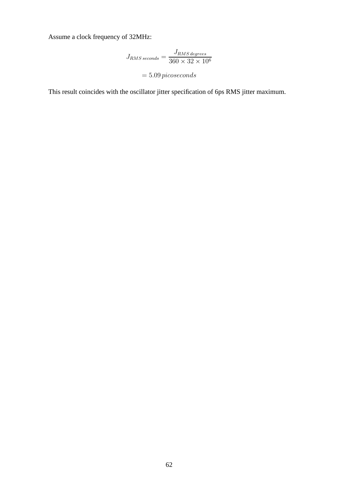Assume a clock frequency of 32MHz:

$$
J_{RMS\,seconds} = \frac{J_{RMS\,degrees}}{360 \times 32 \times 10^6}
$$

## $= 5.09\,picoseconds$

This result coincides with the oscillator jitter specification of 6ps RMS jitter maximum.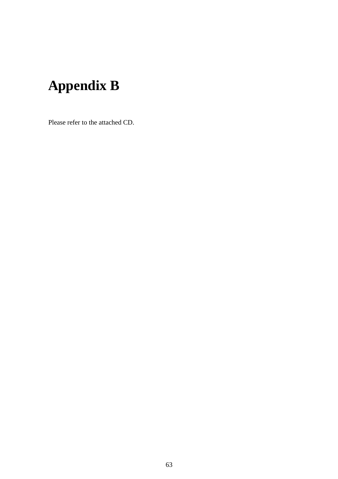## **Appendix B**

Please refer to the attached CD.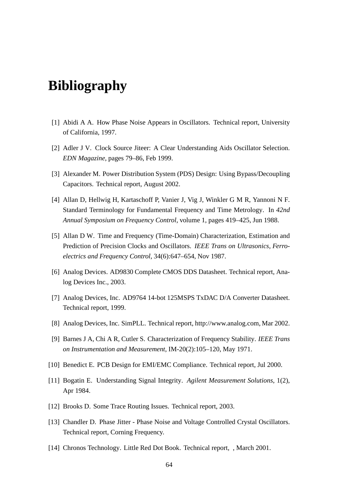## **Bibliography**

- [1] Abidi A A. How Phase Noise Appears in Oscillators. Technical report, University of California, 1997.
- [2] Adler J V. Clock Source Jiteer: A Clear Understanding Aids Oscillator Selection. *EDN Magazine*, pages 79–86, Feb 1999.
- [3] Alexander M. Power Distribution System (PDS) Design: Using Bypass/Decoupling Capacitors. Technical report, August 2002.
- [4] Allan D, Hellwig H, Kartaschoff P, Vanier J, Vig J, Winkler G M R, Yannoni N F. Standard Terminology for Fundamental Frequency and Time Metrology. In *42nd Annual Symposium on Frequency Control*, volume 1, pages 419–425, Jun 1988.
- [5] Allan D W. Time and Frequency (Time-Domain) Characterization, Estimation and Prediction of Precision Clocks and Oscillators. *IEEE Trans on Ultrasonics, Ferroelectrics and Frequency Control*, 34(6):647–654, Nov 1987.
- [6] Analog Devices. AD9830 Complete CMOS DDS Datasheet. Technical report, Analog Devices Inc., 2003.
- [7] Analog Devices, Inc. AD9764 14-bot 125MSPS TxDAC D/A Converter Datasheet. Technical report, 1999.
- [8] Analog Devices, Inc. SimPLL. Technical report, http://www.analog.com, Mar 2002.
- [9] Barnes J A, Chi A R, Cutler S. Characterization of Frequency Stability. *IEEE Trans on Instrumentation and Measurement*, IM-20(2):105–120, May 1971.
- [10] Benedict E. PCB Design for EMI/EMC Compliance. Technical report, Jul 2000.
- [11] Bogatin E. Understanding Signal Integrity. *Agilent Measurement Solutions*, 1(2), Apr 1984.
- [12] Brooks D. Some Trace Routing Issues. Technical report, 2003.
- [13] Chandler D. Phase Jitter Phase Noise and Voltage Controlled Crystal Oscillators. Technical report, Corning Frequency.
- [14] Chronos Technology. Little Red Dot Book. Technical report, , March 2001.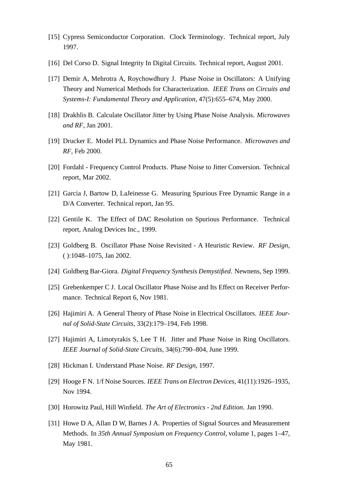- [15] Cypress Semiconductor Corporation. Clock Terminology. Technical report, July 1997.
- [16] Del Corso D. Signal Integrity In Digital Circuits. Technical report, August 2001.
- [17] Demir A, Mehrotra A, Roychowdhury J. Phase Noise in Oscillators: A Unifying Theory and Numerical Methods for Characterization. *IEEE Trans on Circuits and Systems-I: Fundamental Theory and Application*, 47(5):655–674, May 2000.
- [18] Drakhlis B. Calculate Oscillator Jitter by Using Phase Noise Analysis. *Microwaves and RF*, Jan 2001.
- [19] Drucker E. Model PLL Dynamics and Phase Noise Performance. *Microwaves and RF*, Feb 2000.
- [20] Fordahl Frequency Control Products. Phase Noise to Jitter Conversion. Technical report, Mar 2002.
- [21] Garcia J, Bartow D, LaJeinesse G. Measuring Spurious Free Dynamic Range in a D/A Converter. Technical report, Jan 95.
- [22] Gentile K. The Effect of DAC Resolution on Spurious Performance. Technical report, Analog Devices Inc., 1999.
- [23] Goldberg B. Oscillator Phase Noise Revisited A Heuristic Review. *RF Design*, ( ):1048–1075, Jan 2002.
- [24] Goldberg Bar-Giora. *Digital Frequency Synthesis Demystified*. Newnens, Sep 1999.
- [25] Grebenkemper C J. Local Oscillator Phase Noise and Its Effect on Receiver Performance. Technical Report 6, Nov 1981.
- [26] Hajimiri A. A General Theory of Phase Noise in Electrical Oscillators. *IEEE Journal of Solid-State Circuits*, 33(2):179–194, Feb 1998.
- [27] Hajimiri A, Limotyrakis S, Lee T H. Jitter and Phase Noise in Ring Oscillators. *IEEE Journal of Solid-State Circuits*, 34(6):790–804, June 1999.
- [28] Hickman I. Understand Phase Noise. *RF Design*, 1997.
- [29] Hooge F N. 1/f Noise Sources. *IEEE Trans on Electron Devices*, 41(11):1926–1935, Nov 1994.
- [30] Horowitz Paul, Hill Winfield. *The Art of Electronics 2nd Edition*. Jan 1990.
- [31] Howe D A, Allan D W, Barnes J A. Properties of Signal Sources and Measurement Methods. In *35th Annual Symposium on Frequency Control*, volume 1, pages 1–47, May 1981.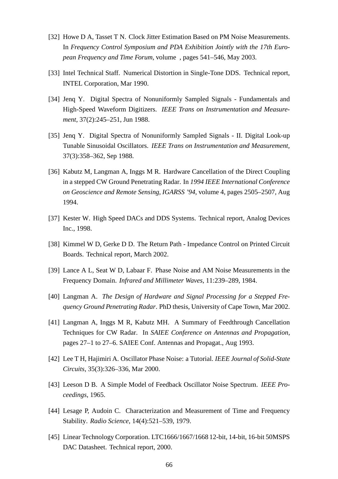- [32] Howe D A, Tasset T N. Clock Jitter Estimation Based on PM Noise Measurements. In *Frequency Control Symposium and PDA Exhibition Jointly with the 17th European Frequency and Time Forum*, volume , pages 541–546, May 2003.
- [33] Intel Technical Staff. Numerical Distortion in Single-Tone DDS. Technical report, INTEL Corporation, Mar 1990.
- [34] Jenq Y. Digital Spectra of Nonuniformly Sampled Signals Fundamentals and High-Speed Waveform Digitizers. *IEEE Trans on Instrumentation and Measurement*, 37(2):245–251, Jun 1988.
- [35] Jenq Y. Digital Spectra of Nonuniformly Sampled Signals II. Digital Look-up Tunable Sinusoidal Oscillators. *IEEE Trans on Instrumentation and Measurement*, 37(3):358–362, Sep 1988.
- [36] Kabutz M, Langman A, Inggs M R. Hardware Cancellation of the Direct Coupling in a stepped CW Ground Penetrating Radar. In *1994 IEEE International Conference on Geoscience and Remote Sensing, IGARSS '94*, volume 4, pages 2505–2507, Aug 1994.
- [37] Kester W. High Speed DACs and DDS Systems. Technical report, Analog Devices Inc., 1998.
- [38] Kimmel W D, Gerke D D. The Return Path Impedance Control on Printed Circuit Boards. Technical report, March 2002.
- [39] Lance A L, Seat W D, Labaar F. Phase Noise and AM Noise Measurements in the Frequency Domain. *Infrared and Millimeter Waves*, 11:239–289, 1984.
- [40] Langman A. *The Design of Hardware and Signal Processing for a Stepped Frequency Ground Penetrating Radar*. PhD thesis, University of Cape Town, Mar 2002.
- [41] Langman A, Inggs M R, Kabutz MH. A Summary of Feedthrough Cancellation Techniques for CW Radar. In *SAIEE Conference on Antennas and Propagation*, pages 27–1 to 27–6. SAIEE Conf. Antennas and Propagat., Aug 1993.
- [42] Lee T H, Hajimiri A. Oscillator Phase Noise: a Tutorial. *IEEE Journal of Solid-State Circuits*, 35(3):326–336, Mar 2000.
- [43] Leeson D B. A Simple Model of Feedback Oscillator Noise Spectrum. *IEEE Proceedings*, 1965.
- [44] Lesage P, Audoin C. Characterization and Measurement of Time and Frequency Stability. *Radio Science*, 14(4):521–539, 1979.
- [45] Linear Technology Corporation. LTC1666/1667/1668 12-bit, 14-bit, 16-bit 50MSPS DAC Datasheet. Technical report, 2000.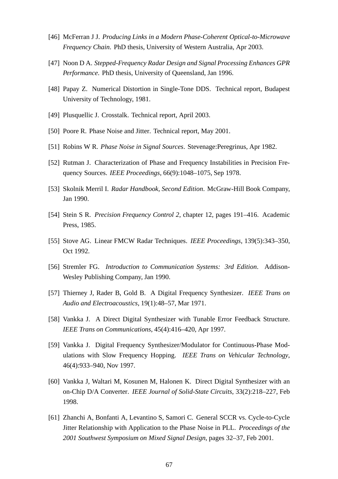- [46] McFerran J J. *Producing Links in a Modern Phase-Coherent Optical-to-Microwave Frequency Chain*. PhD thesis, University of Western Australia, Apr 2003.
- [47] Noon D A. *Stepped-Frequency Radar Design and Signal Processing Enhances GPR Performance*. PhD thesis, University of Queensland, Jan 1996.
- [48] Papay Z. Numerical Distortion in Single-Tone DDS. Technical report, Budapest University of Technology, 1981.
- [49] Plusquellic J. Crosstalk. Technical report, April 2003.
- [50] Poore R. Phase Noise and Jitter. Technical report, May 2001.
- [51] Robins W R. *Phase Noise in Signal Sources*. Stevenage:Peregrinus, Apr 1982.
- [52] Rutman J. Characterization of Phase and Frequency Instabilities in Precision Frequency Sources. *IEEE Proceedings*, 66(9):1048–1075, Sep 1978.
- [53] Skolnik Merril I. *Radar Handbook, Second Edition*. McGraw-Hill Book Company, Jan 1990.
- [54] Stein S R. *Precision Frequency Control 2*, chapter 12, pages 191–416. Academic Press, 1985.
- [55] Stove AG. Linear FMCW Radar Techniques. *IEEE Proceedings*, 139(5):343–350, Oct 1992.
- [56] Stremler FG. *Introduction to Communication Systems: 3rd Edition*. Addison-Wesley Publishing Company, Jan 1990.
- [57] Thierney J, Rader B, Gold B. A Digital Frequency Synthesizer. *IEEE Trans on Audio and Electroacoustics*, 19(1):48–57, Mar 1971.
- [58] Vankka J. A Direct Digital Synthesizer with Tunable Error Feedback Structure. *IEEE Trans on Communications*, 45(4):416–420, Apr 1997.
- [59] Vankka J. Digital Frequency Synthesizer/Modulator for Continuous-Phase Modulations with Slow Frequency Hopping. *IEEE Trans on Vehicular Technology*, 46(4):933–940, Nov 1997.
- [60] Vankka J, Waltari M, Kosunen M, Halonen K. Direct Digital Synthesizer with an on-Chip D/A Converter. *IEEE Journal of Solid-State Circuits*, 33(2):218–227, Feb 1998.
- [61] Zhanchi A, Bonfanti A, Levantino S, Samori C. General SCCR vs. Cycle-to-Cycle Jitter Relationship with Application to the Phase Noise in PLL. *Proceedings of the 2001 Southwest Symposium on Mixed Signal Design*, pages 32–37, Feb 2001.